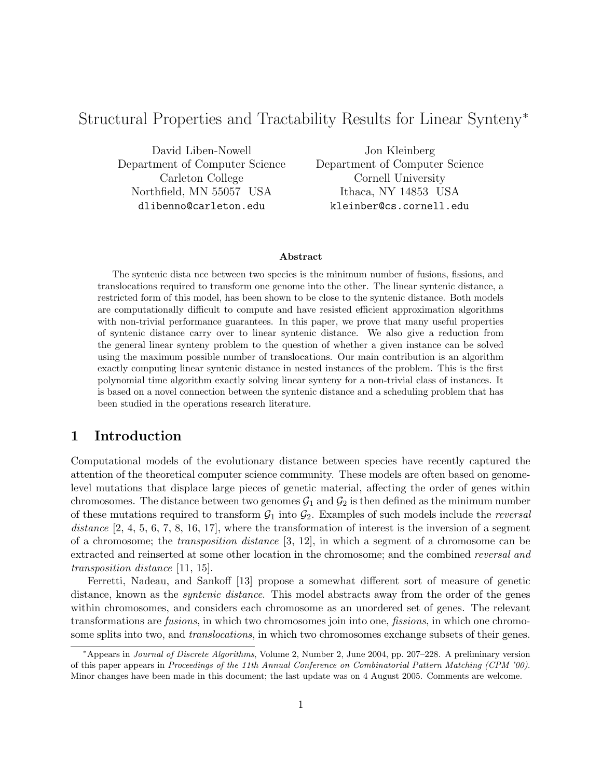# Structural Properties and Tractability Results for Linear Synteny<sup>\*</sup>

David Liben-Nowell Department of Computer Science Carleton College Northfield, MN 55057 USA dlibenno@carleton.edu

Jon Kleinberg Department of Computer Science Cornell University Ithaca, NY 14853 USA kleinber@cs.cornell.edu

#### Abstract

The syntenic dista nce between two species is the minimum number of fusions, fissions, and translocations required to transform one genome into the other. The linear syntenic distance, a restricted form of this model, has been shown to be close to the syntenic distance. Both models are computationally difficult to compute and have resisted efficient approximation algorithms with non-trivial performance guarantees. In this paper, we prove that many useful properties of syntenic distance carry over to linear syntenic distance. We also give a reduction from the general linear synteny problem to the question of whether a given instance can be solved using the maximum possible number of translocations. Our main contribution is an algorithm exactly computing linear syntenic distance in nested instances of the problem. This is the first polynomial time algorithm exactly solving linear synteny for a non-trivial class of instances. It is based on a novel connection between the syntenic distance and a scheduling problem that has been studied in the operations research literature.

## 1 Introduction

Computational models of the evolutionary distance between species have recently captured the attention of the theoretical computer science community. These models are often based on genomelevel mutations that displace large pieces of genetic material, affecting the order of genes within chromosomes. The distance between two genomes  $G_1$  and  $G_2$  is then defined as the minimum number of these mutations required to transform  $\mathcal{G}_1$  into  $\mathcal{G}_2$ . Examples of such models include the *reversal* distance  $[2, 4, 5, 6, 7, 8, 16, 17]$ , where the transformation of interest is the inversion of a segment of a chromosome; the transposition distance [3, 12], in which a segment of a chromosome can be extracted and reinserted at some other location in the chromosome; and the combined reversal and transposition distance [11, 15].

Ferretti, Nadeau, and Sankoff [13] propose a somewhat different sort of measure of genetic distance, known as the *syntenic distance*. This model abstracts away from the order of the genes within chromosomes, and considers each chromosome as an unordered set of genes. The relevant transformations are fusions, in which two chromosomes join into one, fissions, in which one chromosome splits into two, and *translocations*, in which two chromosomes exchange subsets of their genes.

<sup>∗</sup>Appears in Journal of Discrete Algorithms, Volume 2, Number 2, June 2004, pp. 207–228. A preliminary version of this paper appears in Proceedings of the 11th Annual Conference on Combinatorial Pattern Matching (CPM '00). Minor changes have been made in this document; the last update was on 4 August 2005. Comments are welcome.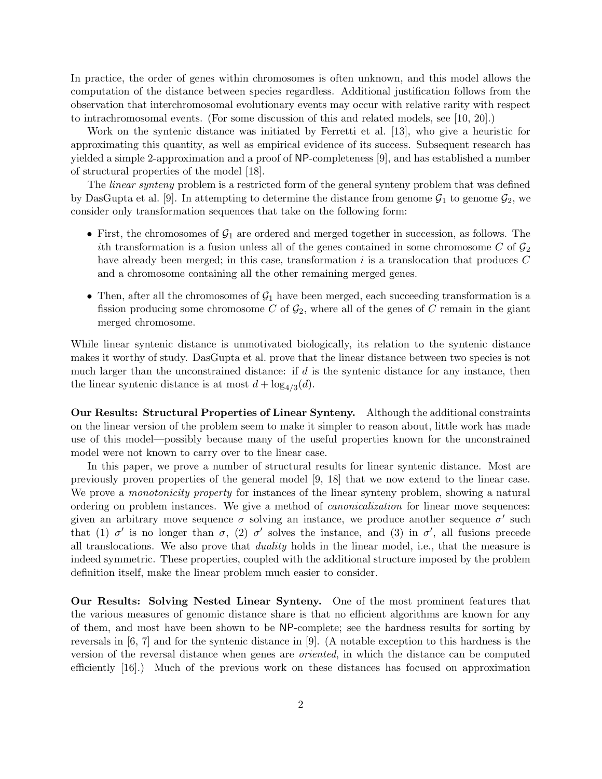In practice, the order of genes within chromosomes is often unknown, and this model allows the computation of the distance between species regardless. Additional justification follows from the observation that interchromosomal evolutionary events may occur with relative rarity with respect to intrachromosomal events. (For some discussion of this and related models, see [10, 20].)

Work on the syntenic distance was initiated by Ferretti et al. [13], who give a heuristic for approximating this quantity, as well as empirical evidence of its success. Subsequent research has yielded a simple 2-approximation and a proof of NP-completeness [9], and has established a number of structural properties of the model [18].

The *linear synteny* problem is a restricted form of the general synteny problem that was defined by DasGupta et al. [9]. In attempting to determine the distance from genome  $\mathcal{G}_1$  to genome  $\mathcal{G}_2$ , we consider only transformation sequences that take on the following form:

- First, the chromosomes of  $G_1$  are ordered and merged together in succession, as follows. The ith transformation is a fusion unless all of the genes contained in some chromosome C of  $\mathcal{G}_2$ have already been merged; in this case, transformation  $i$  is a translocation that produces  $C$ and a chromosome containing all the other remaining merged genes.
- Then, after all the chromosomes of  $G_1$  have been merged, each succeeding transformation is a fission producing some chromosome C of  $\mathcal{G}_2$ , where all of the genes of C remain in the giant merged chromosome.

While linear syntenic distance is unmotivated biologically, its relation to the syntenic distance makes it worthy of study. DasGupta et al. prove that the linear distance between two species is not much larger than the unconstrained distance: if  $d$  is the syntenic distance for any instance, then the linear syntenic distance is at most  $d + \log_{4/3}(d)$ .

Our Results: Structural Properties of Linear Synteny. Although the additional constraints on the linear version of the problem seem to make it simpler to reason about, little work has made use of this model—possibly because many of the useful properties known for the unconstrained model were not known to carry over to the linear case.

In this paper, we prove a number of structural results for linear syntenic distance. Most are previously proven properties of the general model [9, 18] that we now extend to the linear case. We prove a *monotonicity property* for instances of the linear synteny problem, showing a natural ordering on problem instances. We give a method of canonicalization for linear move sequences: given an arbitrary move sequence  $\sigma$  solving an instance, we produce another sequence  $\sigma'$  such that (1)  $\sigma'$  is no longer than  $\sigma$ , (2)  $\sigma'$  solves the instance, and (3) in  $\sigma'$ , all fusions precede all translocations. We also prove that duality holds in the linear model, i.e., that the measure is indeed symmetric. These properties, coupled with the additional structure imposed by the problem definition itself, make the linear problem much easier to consider.

Our Results: Solving Nested Linear Synteny. One of the most prominent features that the various measures of genomic distance share is that no efficient algorithms are known for any of them, and most have been shown to be NP-complete; see the hardness results for sorting by reversals in [6, 7] and for the syntenic distance in [9]. (A notable exception to this hardness is the version of the reversal distance when genes are oriented, in which the distance can be computed efficiently [16].) Much of the previous work on these distances has focused on approximation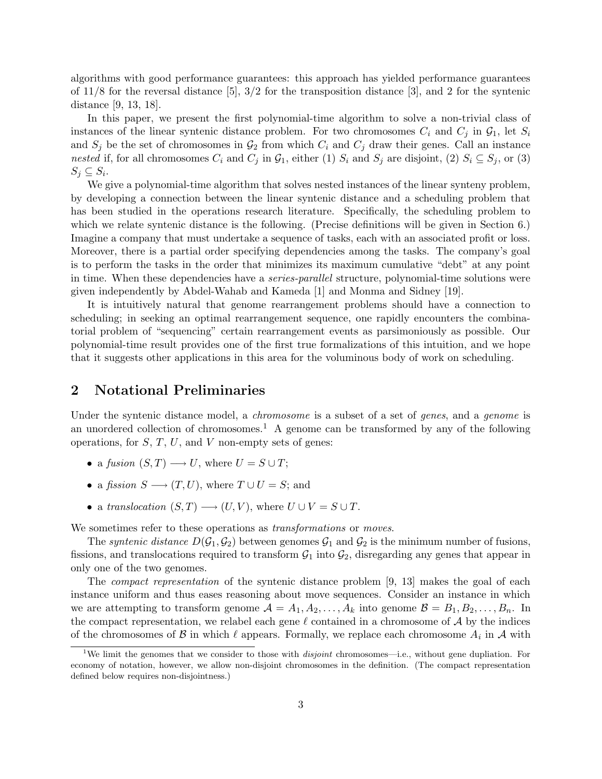algorithms with good performance guarantees: this approach has yielded performance guarantees of  $11/8$  for the reversal distance [5],  $3/2$  for the transposition distance [3], and 2 for the syntenic distance [9, 13, 18].

In this paper, we present the first polynomial-time algorithm to solve a non-trivial class of instances of the linear syntenic distance problem. For two chromosomes  $C_i$  and  $C_j$  in  $\mathcal{G}_1$ , let  $S_i$ and  $S_j$  be the set of chromosomes in  $\mathcal{G}_2$  from which  $C_i$  and  $C_j$  draw their genes. Call an instance nested if, for all chromosomes  $C_i$  and  $C_j$  in  $\mathcal{G}_1$ , either (1)  $S_i$  and  $S_j$  are disjoint, (2)  $S_i \subseteq S_j$ , or (3)  $S_j \subseteq S_i$ .

We give a polynomial-time algorithm that solves nested instances of the linear synteny problem, by developing a connection between the linear syntenic distance and a scheduling problem that has been studied in the operations research literature. Specifically, the scheduling problem to which we relate syntenic distance is the following. (Precise definitions will be given in Section 6.) Imagine a company that must undertake a sequence of tasks, each with an associated profit or loss. Moreover, there is a partial order specifying dependencies among the tasks. The company's goal is to perform the tasks in the order that minimizes its maximum cumulative "debt" at any point in time. When these dependencies have a *series-parallel* structure, polynomial-time solutions were given independently by Abdel-Wahab and Kameda [1] and Monma and Sidney [19].

It is intuitively natural that genome rearrangement problems should have a connection to scheduling; in seeking an optimal rearrangement sequence, one rapidly encounters the combinatorial problem of "sequencing" certain rearrangement events as parsimoniously as possible. Our polynomial-time result provides one of the first true formalizations of this intuition, and we hope that it suggests other applications in this area for the voluminous body of work on scheduling.

# 2 Notational Preliminaries

Under the syntenic distance model, a *chromosome* is a subset of a set of *genes*, and a *genome* is an unordered collection of chromosomes.<sup>1</sup> A genome can be transformed by any of the following operations, for  $S, T, U$ , and  $V$  non-empty sets of genes:

- a fusion  $(S, T) \longrightarrow U$ , where  $U = S \cup T$ ;
- a fission  $S \longrightarrow (T, U)$ , where  $T \cup U = S$ ; and
- a translocation  $(S, T) \longrightarrow (U, V)$ , where  $U \cup V = S \cup T$ .

We sometimes refer to these operations as *transformations* or *moves*.

The syntenic distance  $D(\mathcal{G}_1, \mathcal{G}_2)$  between genomes  $\mathcal{G}_1$  and  $\mathcal{G}_2$  is the minimum number of fusions, fissions, and translocations required to transform  $G_1$  into  $G_2$ , disregarding any genes that appear in only one of the two genomes.

The compact representation of the syntenic distance problem [9, 13] makes the goal of each instance uniform and thus eases reasoning about move sequences. Consider an instance in which we are attempting to transform genome  $A = A_1, A_2, \ldots, A_k$  into genome  $B = B_1, B_2, \ldots, B_n$ . In the compact representation, we relabel each gene  $\ell$  contained in a chromosome of  $A$  by the indices of the chromosomes of  $\mathcal B$  in which  $\ell$  appears. Formally, we replace each chromosome  $A_i$  in  $\mathcal A$  with

<sup>&</sup>lt;sup>1</sup>We limit the genomes that we consider to those with *disjoint* chromosomes—i.e., without gene dupliation. For economy of notation, however, we allow non-disjoint chromosomes in the definition. (The compact representation defined below requires non-disjointness.)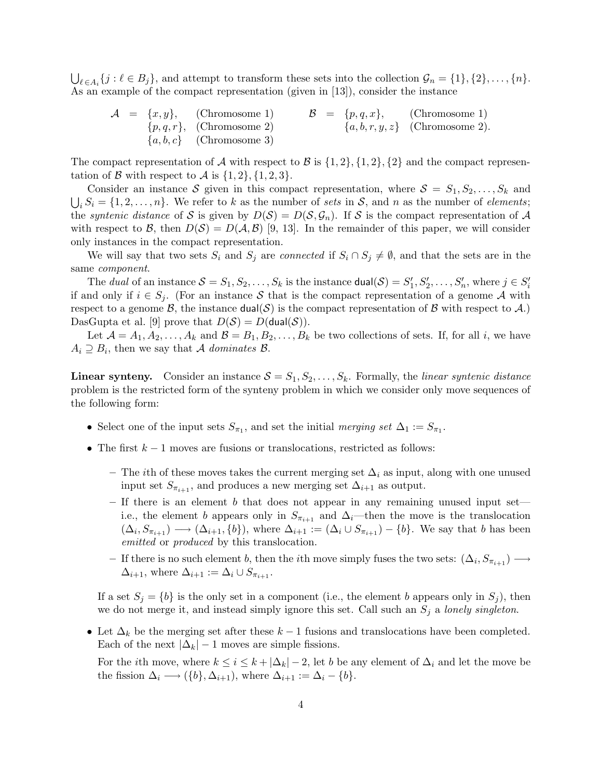$\bigcup_{\ell \in A_i} \{j : \ell \in B_j\}$ , and attempt to transform these sets into the collection  $\mathcal{G}_n = \{1\}, \{2\}, \ldots, \{n\}$ . As an example of the compact representation (given in [13]), consider the instance

$$
\mathcal{A} = \{x, y\}, \qquad \text{(Chromosome 1)} \qquad \mathcal{B} = \{p, q, x\}, \qquad \text{(Chromosome 1)} \{p, q, r\}, \qquad \text{(Chromosome 2)} \{a, b, r, y, z\} \qquad \text{(Chromosome 2)}.
$$
\n
$$
\{a, b, c\} \qquad \text{(Chromosome 3)}
$$

The compact representation of A with respect to B is  $\{1, 2\}, \{1, 2\}, \{2\}$  and the compact representation of B with respect to A is  $\{1, 2\}, \{1, 2, 3\}.$ 

Consider an instance S given in this compact representation, where  $S = S_1, S_2, \ldots, S_k$  and  $\bigcup_i S_i = \{1, 2, \ldots, n\}.$  We refer to k as the number of sets in S, and n as the number of elements; the *syntenic distance* of S is given by  $D(S) = D(S, \mathcal{G}_n)$ . If S is the compact representation of A with respect to B, then  $D(S) = D(A, B)$  [9, 13]. In the remainder of this paper, we will consider only instances in the compact representation.

We will say that two sets  $S_i$  and  $S_j$  are *connected* if  $S_i \cap S_j \neq \emptyset$ , and that the sets are in the same component.

The dual of an instance  $S = S_1, S_2, \ldots, S_k$  is the instance  $\text{dual}(\mathcal{S}) = S'_1, S'_2, \ldots, S'_n$ , where  $j \in S'_i$ if and only if  $i \in S_j$ . (For an instance S that is the compact representation of a genome A with respect to a genome  $\mathcal{B}$ , the instance dual(S) is the compact representation of  $\mathcal{B}$  with respect to  $\mathcal{A}$ .) DasGupta et al. [9] prove that  $D(S) = D(\text{dual}(S))$ .

Let  $\mathcal{A} = A_1, A_2, \ldots, A_k$  and  $\mathcal{B} = B_1, B_2, \ldots, B_k$  be two collections of sets. If, for all i, we have  $A_i \supseteq B_i$ , then we say that A dominates B.

**Linear synteny.** Consider an instance  $S = S_1, S_2, \ldots, S_k$ . Formally, the *linear syntenic distance* problem is the restricted form of the synteny problem in which we consider only move sequences of the following form:

- Select one of the input sets  $S_{\pi_1}$ , and set the initial merging set  $\Delta_1 := S_{\pi_1}$ .
- The first  $k-1$  moves are fusions or translocations, restricted as follows:
	- The ith of these moves takes the current merging set  $\Delta_i$  as input, along with one unused input set  $S_{\pi_{i+1}}$ , and produces a new merging set  $\Delta_{i+1}$  as output.
	- If there is an element b that does not appear in any remaining unused input set i.e., the element b appears only in  $S_{\pi_{i+1}}$  and  $\Delta_i$ —then the move is the translocation  $(\Delta_i, S_{\pi_{i+1}}) \longrightarrow (\Delta_{i+1}, \{b\}),$  where  $\Delta_{i+1} := (\Delta_i \cup S_{\pi_{i+1}}) - \{b\}.$  We say that b has been emitted or *produced* by this translocation.
	- $-$  If there is no such element b, then the *i*th move simply fuses the two sets:  $(\Delta_i, S_{\pi_{i+1}})$  →  $\Delta_{i+1}$ , where  $\Delta_{i+1} := \Delta_i \cup S_{\pi_{i+1}}$ .

If a set  $S_i = \{b\}$  is the only set in a component (i.e., the element b appears only in  $S_i$ ), then we do not merge it, and instead simply ignore this set. Call such an  $S_j$  a lonely singleton.

• Let  $\Delta_k$  be the merging set after these  $k-1$  fusions and translocations have been completed. Each of the next  $|\Delta_k| - 1$  moves are simple fissions.

For the *i*th move, where  $k \leq i \leq k + |\Delta_k| - 2$ , let b be any element of  $\Delta_i$  and let the move be the fission  $\Delta_i \longrightarrow (\{b\}, \Delta_{i+1}),$  where  $\Delta_{i+1} := \Delta_i - \{b\}.$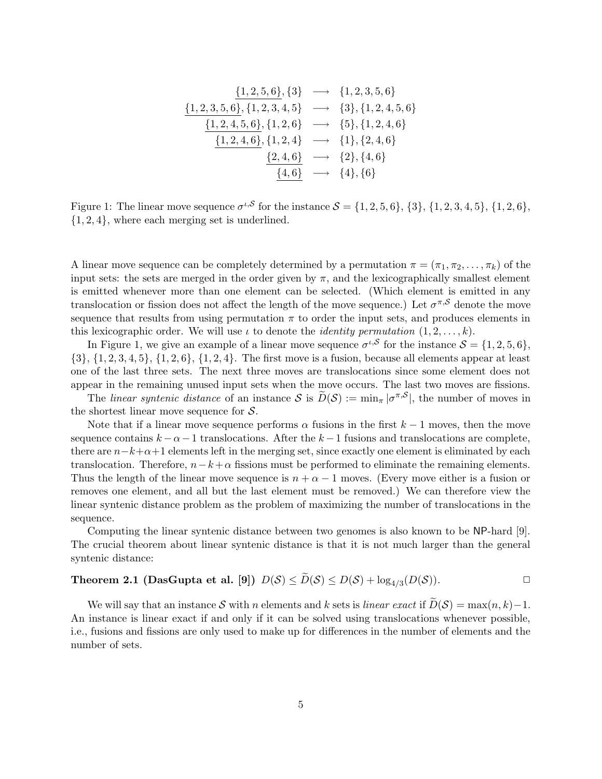$$
\begin{array}{rcl}\n\{1,2,3,5,6\},\{3\} &\longrightarrow & \{1,2,3,5,6\} \\
\{\underline{1,2,3,5,6\}},\{1,2,3,4,5\} &\longrightarrow & \{3\},\{1,2,4,5,6\} \\
\hline\n\{\underline{1,2,4,5,6\}},\{1,2,6\} &\longrightarrow & \{5\},\{1,2,4,6\} \\
\hline\n\{\underline{1,2,4,6\}},\{1,2,4\} &\longrightarrow & \{1\},\{2,4,6\} \\
\hline\n\{\underline{2,4,6\}} &\longrightarrow & \{2\},\{4,6\} \\
\hline\n\{\underline{4,6\}} &\longrightarrow & \{4\},\{6\}\n\end{array}
$$

Figure 1: The linear move sequence  $\sigma^{t, S}$  for the instance  $S = \{1, 2, 5, 6\}, \{3\}, \{1, 2, 3, 4, 5\}, \{1, 2, 6\},\$  $\{1, 2, 4\}$ , where each merging set is underlined.

A linear move sequence can be completely determined by a permutation  $\pi = (\pi_1, \pi_2, \dots, \pi_k)$  of the input sets: the sets are merged in the order given by  $\pi$ , and the lexicographically smallest element is emitted whenever more than one element can be selected. (Which element is emitted in any translocation or fission does not affect the length of the move sequence.) Let  $\sigma^{\pi, S}$  denote the move sequence that results from using permutation  $\pi$  to order the input sets, and produces elements in this lexicographic order. We will use  $\iota$  to denote the *identity permutation*  $(1, 2, \ldots, k)$ .

In Figure 1, we give an example of a linear move sequence  $\sigma^{\iota,\mathcal{S}}$  for the instance  $\mathcal{S} = \{1, 2, 5, 6\},\$  $\{3\}, \{1, 2, 3, 4, 5\}, \{1, 2, 6\}, \{1, 2, 4\}.$  The first move is a fusion, because all elements appear at least one of the last three sets. The next three moves are translocations since some element does not appear in the remaining unused input sets when the move occurs. The last two moves are fissions.

The linear syntenic distance of an instance  $S$  is  $\tilde{D}(S) := \min_{\pi} |\sigma^{\pi,S}|$ , the number of moves in the shortest linear move sequence for  $S$ .

Note that if a linear move sequence performs  $\alpha$  fusions in the first  $k-1$  moves, then the move sequence contains  $k - \alpha - 1$  translocations. After the  $k - 1$  fusions and translocations are complete, there are  $n-k+\alpha+1$  elements left in the merging set, since exactly one element is eliminated by each translocation. Therefore,  $n-k+\alpha$  fissions must be performed to eliminate the remaining elements. Thus the length of the linear move sequence is  $n + \alpha - 1$  moves. (Every move either is a fusion or removes one element, and all but the last element must be removed.) We can therefore view the linear syntenic distance problem as the problem of maximizing the number of translocations in the sequence.

Computing the linear syntenic distance between two genomes is also known to be NP-hard [9]. The crucial theorem about linear syntenic distance is that it is not much larger than the general syntenic distance:

# Theorem 2.1 (DasGupta et al. [9])  $D(S) \leq \widetilde{D}(S) \leq D(S) + \log_{4/3}(D(S))$ .

We will say that an instance S with n elements and k sets is linear exact if  $\widetilde{D}(\mathcal{S}) = \max(n, k) - 1$ . An instance is linear exact if and only if it can be solved using translocations whenever possible, i.e., fusions and fissions are only used to make up for differences in the number of elements and the number of sets.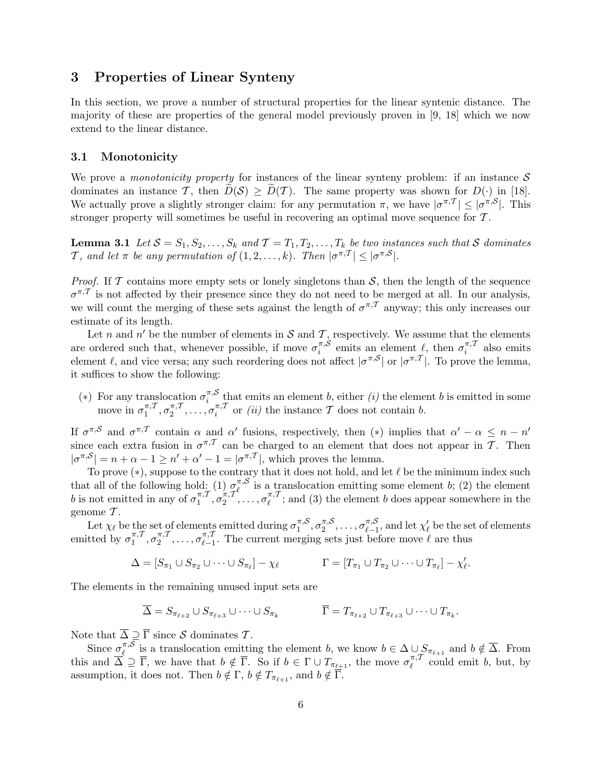# 3 Properties of Linear Synteny

In this section, we prove a number of structural properties for the linear syntenic distance. The majority of these are properties of the general model previously proven in [9, 18] which we now extend to the linear distance.

## 3.1 Monotonicity

We prove a *monotonicity property* for instances of the linear synteny problem: if an instance  $S$ dominates an instance T, then  $\widetilde{D}(\mathcal{S}) \geq \widetilde{D}(\mathcal{T})$ . The same property was shown for  $D(\cdot)$  in [18]. We actually prove a slightly stronger claim: for any permutation  $\pi$ , we have  $|\sigma^{\pi,T}| \leq |\sigma^{\pi,S}|$ . This stronger property will sometimes be useful in recovering an optimal move sequence for T .

**Lemma 3.1** Let  $S = S_1, S_2, \ldots, S_k$  and  $T = T_1, T_2, \ldots, T_k$  be two instances such that S dominates T, and let  $\pi$  be any permutation of  $(1, 2, \ldots, k)$ . Then  $|\sigma^{\pi, \mathcal{T}}| \leq |\sigma^{\pi, \mathcal{S}}|$ .

*Proof.* If  $\mathcal T$  contains more empty sets or lonely singletons than  $\mathcal S$ , then the length of the sequence  $\sigma^{\pi,T}$  is not affected by their presence since they do not need to be merged at all. In our analysis, we will count the merging of these sets against the length of  $\sigma^{\pi,T}$  anyway; this only increases our estimate of its length.

Let n and n' be the number of elements in S and T, respectively. We assume that the elements are ordered such that, whenever possible, if move  $\sigma_i^{\pi, \mathcal{S}}$  $\sum_{i}^{\pi,\mathcal{S}}$  emits an element  $\ell$ , then  $\sigma_i^{\pi,\mathcal{I}}$  $\sum_{i=1}^{n+1}$  also emits element  $\ell$ , and vice versa; any such reordering does not affect  $|\sigma^{\pi,S}|$  or  $|\sigma^{\pi,T}|$ . To prove the lemma, it suffices to show the following:

(\*) For any translocation  $\sigma_i^{\pi, \mathcal{S}}$  $\sum_{i=1}^{\pi, \infty}$  that emits an element b, either (i) the element b is emitted in some move in  $\sigma_1^{\pi,1}$  $\pi, \mathcal{T}, \sigma_2^{\pi, \mathcal{T}}$  $\sigma_2^{\pi,\mathcal{T}}, \ldots, \sigma_i^{\pi,\mathcal{T}}$  $\int_{i}^{\pi,1}$  or *(ii)* the instance T does not contain *b*.

If  $\sigma^{\pi,\mathcal{S}}$  and  $\sigma^{\pi,\mathcal{T}}$  contain  $\alpha$  and  $\alpha'$  fusions, respectively, then  $(*)$  implies that  $\alpha' - \alpha \leq n - n'$ since each extra fusion in  $\sigma^{\pi,T}$  can be charged to an element that does not appear in T. Then  $|\sigma^{\pi,\mathcal{S}}| = n + \alpha - 1 \geq n' + \alpha' - 1 = |\sigma^{\pi,\mathcal{T}}|$ , which proves the lemma.

To prove  $(*)$ , suppose to the contrary that it does not hold, and let  $\ell$  be the minimum index such that all of the following hold: (1)  $\sigma_{\ell}^{\pi, \mathcal{S}}$  $\ell$ <sup>\*</sup>,<sup>3</sup> is a translocation emitting some element b; (2) the element b is not emitted in any of  $\sigma_1^{\pi, \mathcal{I}}$  $\sigma_1^{\pi,\mathcal{T}}, \sigma_2^{\pi,\mathcal{T}}$  $\sigma_2^{\pi,\mathcal{T}^c},\ldots,\sigma_\ell^{\pi,\mathcal{T}}$  $\ell^{(\pi,1)}$ ; and (3) the element b does appear somewhere in the genome  $\mathcal{T}$ .

Let  $\chi_{\ell}$  be the set of elements emitted during  $\sigma_1^{\pi,\mathcal{S}}$  $\pi, \mathcal{S}, \sigma_2^{\pi, \mathcal{S}}$  $\sigma_2^{\pi, \mathcal{S}}, \ldots, \sigma_{\ell-1}^{\pi, \mathcal{S}}$  $\sum_{\ell=1}^{\pi,\mathcal{S}},$  and let  $\chi'_{\ell}$  be the set of elements emitted by  $\sigma_1^{\pi, T}$  $\pi, \mathcal{T}, \sigma_2^{\pi, \mathcal{T}}$  $\sigma_2^{\pi,\mathcal{T}}, \ldots, \sigma_{\ell-1}^{\pi,\mathcal{T}}$  $\ell_{\ell-1}^{\pi,\ell}$ . The current merging sets just before move  $\ell$  are thus

$$
\Delta = [S_{\pi_1} \cup S_{\pi_2} \cup \cdots \cup S_{\pi_\ell}] - \chi_\ell \qquad \qquad \Gamma = [T_{\pi_1} \cup T_{\pi_2} \cup \cdots \cup T_{\pi_\ell}] - \chi'_\ell.
$$

The elements in the remaining unused input sets are

$$
\overline{\Delta} = S_{\pi_{\ell+2}} \cup S_{\pi_{\ell+3}} \cup \cdots \cup S_{\pi_k} \qquad \qquad \overline{\Gamma} = T_{\pi_{\ell+2}} \cup T_{\pi_{\ell+3}} \cup \cdots \cup T_{\pi_k}.
$$

Note that  $\overline{\Delta} \supseteq \overline{\Gamma}$  since S dominates T.

Since  $\sigma_\ell^{\pi, \mathcal{S}}$ <sup>π,δ</sup> is a translocation emitting the element b, we know  $b \in \Delta \cup S_{\pi_{\ell+1}}$  and  $b \notin \Delta$ . From this and  $\overline{\Delta} \supseteq \overline{\Gamma}$ , we have that  $b \notin \overline{\Gamma}$ . So if  $b \in \Gamma \cup T_{\pi_{\ell+1}}$ , the move  $\sigma_{\ell}^{\pi, \mathcal{T}}$  $\ell^{\pi,1}$  could emit b, but, by assumption, it does not. Then  $b \notin \Gamma$ ,  $b \notin T_{\pi_{\ell+1}}$ , and  $b \notin \overline{\Gamma}$ .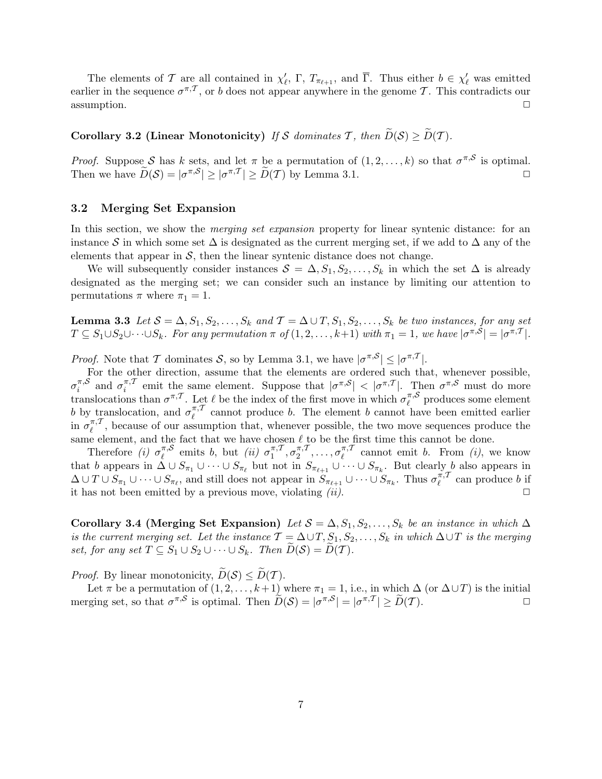The elements of T are all contained in  $\chi'_{\ell}$ ,  $\Gamma$ ,  $T_{\pi_{\ell+1}}$ , and  $\overline{\Gamma}$ . Thus either  $b \in \chi'_{\ell}$  was emitted earlier in the sequence  $\sigma^{\pi,\mathcal{T}}$ , or b does not appear anywhere in the genome T. This contradicts our  $\Box$  assumption.

# Corollary 3.2 (Linear Monotonicity) If S dominates T, then  $\widetilde{D}(S) \ge \widetilde{D}(T)$ .

*Proof.* Suppose S has k sets, and let  $\pi$  be a permutation of  $(1, 2, ..., k)$  so that  $\sigma^{\pi, S}$  is optimal. Then we have  $\widetilde{D}(\mathcal{S}) = |\sigma^{\pi,\mathcal{S}}| \ge |\sigma^{\pi,\mathcal{T}}| \ge \widetilde{D}(\mathcal{T})$  by Lemma 3.1.

### 3.2 Merging Set Expansion

In this section, we show the *merging set expansion* property for linear syntenic distance: for an instance S in which some set  $\Delta$  is designated as the current merging set, if we add to  $\Delta$  any of the elements that appear in  $S$ , then the linear syntenic distance does not change.

We will subsequently consider instances  $S = \Delta, S_1, S_2, \ldots, S_k$  in which the set  $\Delta$  is already designated as the merging set; we can consider such an instance by limiting our attention to permutations  $\pi$  where  $\pi_1 = 1$ .

**Lemma 3.3** Let  $S = \Delta, S_1, S_2, \ldots, S_k$  and  $\mathcal{T} = \Delta \cup T, S_1, S_2, \ldots, S_k$  be two instances, for any set  $T \subseteq S_1 \cup S_2 \cup \cdots \cup S_k$ . For any permutation  $\pi$  of  $(1, 2, \ldots, k+1)$  with  $\pi_1 = 1$ , we have  $|\sigma^{\pi, S}| = |\sigma^{\pi, T}|$ .

*Proof.* Note that T dominates S, so by Lemma 3.1, we have  $|\sigma^{\pi, S}| \leq |\sigma^{\pi, T}|$ .

For the other direction, assume that the elements are ordered such that, whenever possible,  $\sigma_i^{\pi, \mathcal{S}}$  $\sum_{i}^{\pi,\mathcal{S}}$  and  $\sigma_i^{\pi,\mathcal{I}}$  $\int_{i}^{\pi}$  emit the same element. Suppose that  $|\sigma^{\pi, S}| < |\sigma^{\pi, T}|$ . Then  $\sigma^{\pi, S}$  must do more translocations than  $\sigma^{\pi,\mathcal{T}}$ . Let  $\ell$  be the index of the first move in which  $\sigma_{\ell}^{\pi,\mathcal{S}}$  $\int_{\ell}^{\pi,\infty}$  produces some element b by translocation, and  $\sigma_{\ell}^{\pi, \mathcal{I}}$  $\ell$ <sup> $\tau$ , annot produce b. The element b cannot have been emitted earlier</sup> in  $\sigma_\ell^{\pi, T}$  $\ell^{(\pi,1)}$ , because of our assumption that, whenever possible, the two move sequences produce the same element, and the fact that we have chosen  $\ell$  to be the first time this cannot be done.

Therefore (i)  $\sigma_{\ell}^{\pi, \mathcal{S}}$  $\int_{\ell}^{\pi,\mathcal{S}}$  emits b, but *(ii)*  $\sigma_1^{\pi,\mathcal{I}}$  $\pi, \mathcal{T}, \sigma_2^{\pi, \mathcal{T}}$  $\sigma_2^{\pi,\mathcal{T}}, \ldots, \sigma_{\ell}^{\pi,\mathcal{T}}$  $\ell^{(\pi,1)}$  cannot emit b. From (i), we know that b appears in  $\Delta \cup S_{\pi_1} \cup \cdots \cup S_{\pi_\ell}$  but not in  $S_{\pi_{\ell+1}} \cup \cdots \cup S_{\pi_k}$ . But clearly b also appears in  $\Delta \cup T \cup S_{\pi_1} \cup \cdots \cup S_{\pi_\ell}$ , and still does not appear in  $S_{\pi_{\ell+1}} \cup \cdots \cup S_{\pi_k}$ . Thus  $\sigma_\ell^{\pi, T}$  $\ell^{n,1}$  can produce b if it has not been emitted by a previous move, violating  $(ii)$ .

Corollary 3.4 (Merging Set Expansion) Let  $S = \Delta, S_1, S_2, \ldots, S_k$  be an instance in which  $\Delta$ is the current merging set. Let the instance  $T = \Delta \cup T, S_1, S_2, \ldots, S_k$  in which  $\Delta \cup T$  is the merging set, for any set  $T \subseteq S_1 \cup S_2 \cup \cdots \cup S_k$ . Then  $D(S) = D(T)$ .

*Proof.* By linear monotonicity,  $\widetilde{D}(\mathcal{S}) \leq \widetilde{D}(\mathcal{T})$ .

Let  $\pi$  be a permutation of  $(1, 2, \ldots, k+1)$  where  $\pi_1 = 1$ , i.e., in which  $\Delta$  (or  $\Delta \cup T$ ) is the initial merging set, so that  $\sigma^{\pi, S}$  is optimal. Then  $\widetilde{D}(S) = |\sigma^{\pi, S}| = |\sigma^{\pi, T}| \ge \widetilde{D}(T)$ .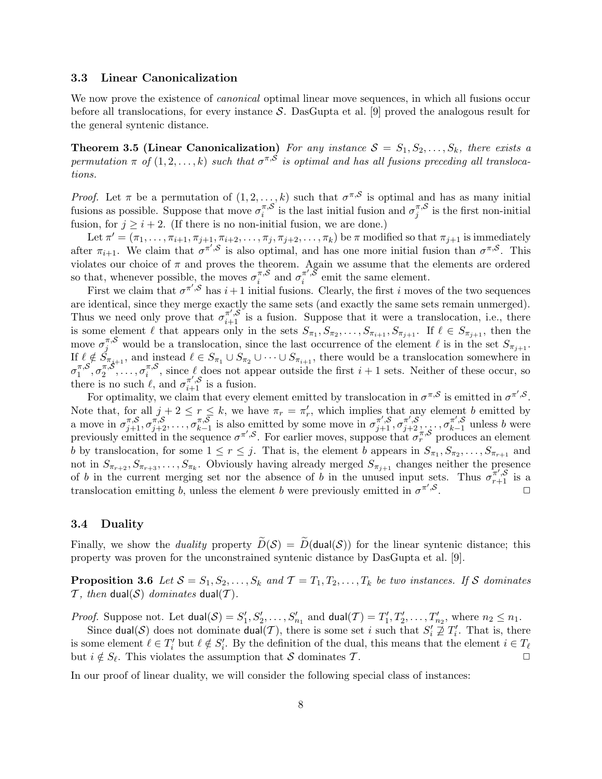### 3.3 Linear Canonicalization

We now prove the existence of *canonical* optimal linear move sequences, in which all fusions occur before all translocations, for every instance S. DasGupta et al. [9] proved the analogous result for the general syntenic distance.

**Theorem 3.5 (Linear Canonicalization)** For any instance  $S = S_1, S_2, \ldots, S_k$ , there exists a permutation  $\pi$  of  $(1, 2, ..., k)$  such that  $\sigma^{\pi, S}$  is optimal and has all fusions preceding all translocations.

*Proof.* Let  $\pi$  be a permutation of  $(1, 2, ..., k)$  such that  $\sigma^{\pi, S}$  is optimal and has as many initial fusions as possible. Suppose that move  $\sigma_i^{\pi, \mathcal{S}}$  $\sum_{i=1}^{\pi,\mathcal{S}}$  is the last initial fusion and  $\sigma_j^{\pi,\mathcal{S}}$  $j^{(\pi,\circ)}$  is the first non-initial fusion, for  $j \geq i + 2$ . (If there is no non-initial fusion, we are done.)

Let  $\pi' = (\pi_1, \ldots, \pi_{i+1}, \pi_{j+1}, \pi_{i+2}, \ldots, \pi_j, \pi_{j+2}, \ldots, \pi_k)$  be  $\pi$  modified so that  $\pi_{j+1}$  is immediately after  $\pi_{i+1}$ . We claim that  $\sigma^{\pi',\mathcal{S}}$  is also optimal, and has one more initial fusion than  $\sigma^{\pi,\mathcal{S}}$ . This violates our choice of  $\pi$  and proves the theorem. Again we assume that the elements are ordered so that, whenever possible, the moves  $\sigma_i^{\pi, \mathcal{S}}$  $\sum_{i=1}^{\pi, \mathcal{S}}$  and  $\sigma_i^{\pi', \check{\mathcal{S}}}$  $\int_{i}^{\pi}$ ,<sup>o</sup> emit the same element.

First we claim that  $\sigma^{\pi',S}$  has  $i+1$  initial fusions. Clearly, the first i moves of the two sequences are identical, since they merge exactly the same sets (and exactly the same sets remain unmerged). Thus we need only prove that  $\sigma_{i+1}^{\pi',\mathcal{S}}$  is a fusion. Suppose that it were a translocation, i.e., there is some element  $\ell$  that appears only in the sets  $S_{\pi_1}, S_{\pi_2}, \ldots, S_{\pi_{i+1}}, S_{\pi_{j+1}}$ . If  $\ell \in S_{\pi_{j+1}}$ , then the move  $\sigma_j^{\pi, S}$  would be a translocation, since the last occurrence of the element  $\ell$  is in the set  $S_{\pi_{j+1}}$ . If  $\ell \notin S_{\pi_{j+1}}$ , and instead  $\ell \in S_{\pi_1} \cup S_{\pi_2} \cup \cdots \cup S_{\pi_{i+1}}$ , there would be a translocation somewhere in  $\sigma_1^{\pi, \mathcal{S}}$  $\pi, \mathcal{S}^{\!\!\!\prime}, \sigma_2^{\pi, \mathcal{S}}$  $\sigma_1^{\pi, \mathcal{S}}, \ldots, \sigma_i^{\pi, \mathcal{S}}$ <sup> $\pi$ </sup>,<sup>8</sup>, since  $\ell$  does not appear outside the first  $i + 1$  sets. Neither of these occur, so there is no such  $\ell$ , and  $\sigma_{i+1}^{\pi', \mathcal{S}}$  is a fusion.

For optimality, we claim that every element emitted by translocation in  $\sigma^{\pi, S}$  is emitted in  $\sigma^{\pi', S}$ . Note that, for all  $j+2 \leq r \leq k$ , we have  $\pi_r = \pi'_r$ , which implies that any element b emitted by a move in  $\sigma_{j+1}^{\pi, \mathcal{S}}, \sigma_{j+2}^{\pi, \mathcal{S}}, \ldots, \sigma_{k-1}^{\pi, \mathcal{S}}$  $\pi,\overline{\mathcal{S}}$  is also emitted by some move in  $\sigma^{\pi',\mathcal{S}}_{j+1}, \sigma^{\pi',\mathcal{S}}_{j+2}, \ldots, \sigma^{\pi',\mathcal{S}}_{k-1}$  $\sum_{k=1}^{\pi}$ , unless b were previously emitted in the sequence  $\sigma^{\pi',\mathcal{S}}$ . For earlier moves, suppose that  $\sigma_r^{\pi,\mathcal{S}}$  produces an element b by translocation, for some  $1 \le r \le j$ . That is, the element b appears in  $S_{\pi_1}, S_{\pi_2}, \ldots, S_{\pi_{r+1}}$  and not in  $S_{\pi_{r+2}}, S_{\pi_{r+3}}, \ldots, S_{\pi_k}$ . Obviously having already merged  $S_{\pi_{j+1}}$  changes neither the presence of b in the current merging set nor the absence of b in the unused input sets. Thus  $\sigma_{r+1}^{\pi', S}$  is a translocation emitting b, unless the element b were previously emitted in  $\sigma^{\pi',\mathcal{S}}$ .  $\Box$ 

### 3.4 Duality

Finally, we show the *duality* property  $\widetilde{D}(\mathcal{S}) = \widetilde{D}(dual(\mathcal{S}))$  for the linear syntenic distance; this property was proven for the unconstrained syntenic distance by DasGupta et al. [9].

**Proposition 3.6** Let  $S = S_1, S_2, \ldots, S_k$  and  $\mathcal{T} = T_1, T_2, \ldots, T_k$  be two instances. If S dominates T, then dual(S) dominates dual(T).

*Proof.* Suppose not. Let  $dual(S) = S'_1, S'_2, \ldots, S'_{n_1}$  and  $dual(\mathcal{T}) = T'_1, T'_2, \ldots, T'_{n_2}$ , where  $n_2 \leq n_1$ .

Since dual(S) does not dominate dual(T), there is some set i such that  $S_i' \not\supseteq T_i'$ . That is, there is some element  $\ell \in T'_i$  but  $\ell \notin S'_i$ . By the definition of the dual, this means that the element  $i \in T_\ell$ but  $i \notin S_{\ell}$ . This violates the assumption that S dominates T.

In our proof of linear duality, we will consider the following special class of instances: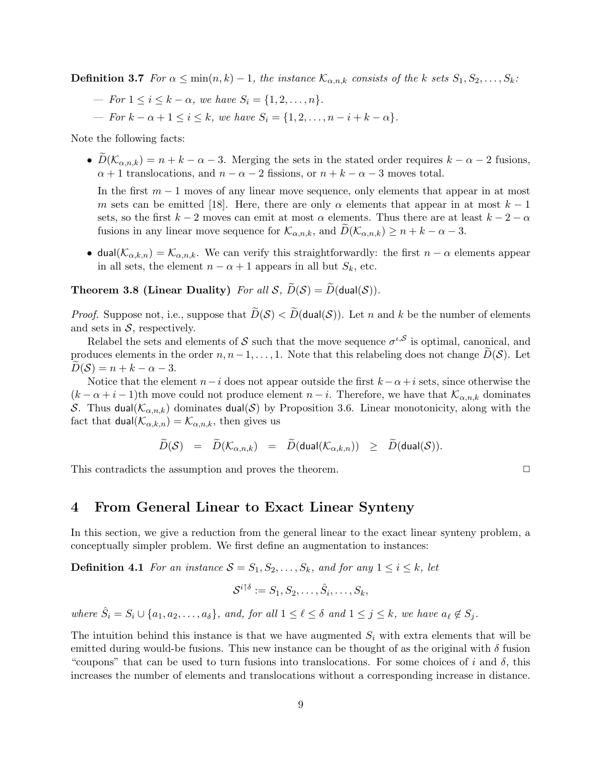**Definition 3.7** For  $\alpha \leq \min(n, k) - 1$ , the instance  $\mathcal{K}_{\alpha, n, k}$  consists of the k sets  $S_1, S_2, \ldots, S_k$ :

- For  $1 \le i \le k \alpha$ , we have  $S_i = \{1, 2, ..., n\}$ .
- For  $k \alpha + 1 \leq i \leq k$ , we have  $S_i = \{1, 2, \ldots, n i + k \alpha\}.$

Note the following facts:

•  $\widetilde{D}(\mathcal{K}_{\alpha,n,k}) = n + k - \alpha - 3$ . Merging the sets in the stated order requires  $k - \alpha - 2$  fusions,  $\alpha + 1$  translocations, and  $n - \alpha - 2$  fissions, or  $n + k - \alpha - 3$  moves total.

In the first  $m-1$  moves of any linear move sequence, only elements that appear in at most m sets can be emitted [18]. Here, there are only  $\alpha$  elements that appear in at most  $k-1$ sets, so the first k − 2 moves can emit at most  $\alpha$  elements. Thus there are at least k − 2 −  $\alpha$ fusions in any linear move sequence for  $\mathcal{K}_{\alpha,n,k}$ , and  $D(\mathcal{K}_{\alpha,n,k}) \geq n+k-\alpha-3$ .

• dual( $\mathcal{K}_{\alpha,k,n}$ ) =  $\mathcal{K}_{\alpha,n,k}$ . We can verify this straightforwardly: the first  $n-\alpha$  elements appear in all sets, the element  $n - \alpha + 1$  appears in all but  $S_k$ , etc.

## **Theorem 3.8 (Linear Duality)** For all  $S$ ,  $\widetilde{D}(S) = \widetilde{D}(\text{dual}(\mathcal{S}))$ .

*Proof.* Suppose not, i.e., suppose that  $\widetilde{D}(S) < \widetilde{D}(\text{dual}(S))$ . Let n and k be the number of elements and sets in  $S$ , respectively.

Relabel the sets and elements of S such that the move sequence  $\sigma^{\iota,\mathcal{S}}$  is optimal, canonical, and produces elements in the order  $n, n-1, \ldots, 1$ . Note that this relabeling does not change  $D(S)$ . Let  $D(S) = n + k - \alpha - 3.$ 

Notice that the element  $n-i$  does not appear outside the first  $k - \alpha + i$  sets, since otherwise the  $(k - \alpha + i - 1)$ th move could not produce element  $n - i$ . Therefore, we have that  $\mathcal{K}_{\alpha, n, k}$  dominates S. Thus dual( $\mathcal{K}_{\alpha,n,k}$ ) dominates dual(S) by Proposition 3.6. Linear monotonicity, along with the fact that dual( $\mathcal{K}_{\alpha,k,n}$ ) =  $\mathcal{K}_{\alpha,n,k}$ , then gives us

$$
\widetilde{D}(\mathcal{S}) = \widetilde{D}(\mathcal{K}_{\alpha,n,k}) = \widetilde{D}(\text{dual}(\mathcal{K}_{\alpha,k,n})) \geq \widetilde{D}(\text{dual}(\mathcal{S})).
$$

This contradicts the assumption and proves the theorem.  $\Box$ 

# 4 From General Linear to Exact Linear Synteny

In this section, we give a reduction from the general linear to the exact linear synteny problem, a conceptually simpler problem. We first define an augmentation to instances:

**Definition 4.1** For an instance  $S = S_1, S_2, \ldots, S_k$ , and for any  $1 \le i \le k$ , let

$$
\mathcal{S}^{i\uparrow\delta}:=S_1,S_2,\ldots,\hat{S}_i,\ldots,S_k,
$$

where  $\hat{S}_i = S_i \cup \{a_1, a_2, \ldots, a_{\delta}\}\$ , and, for all  $1 \leq \ell \leq \delta$  and  $1 \leq j \leq k$ , we have  $a_{\ell} \notin S_j$ .

The intuition behind this instance is that we have augmented  $S_i$  with extra elements that will be emitted during would-be fusions. This new instance can be thought of as the original with  $\delta$  fusion "coupons" that can be used to turn fusions into translocations. For some choices of i and  $\delta$ , this increases the number of elements and translocations without a corresponding increase in distance.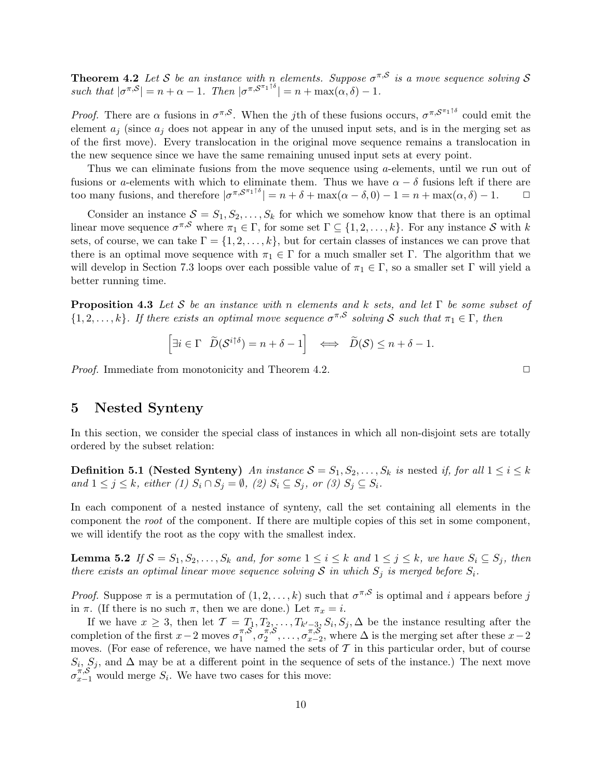**Theorem 4.2** Let S be an instance with n elements. Suppose  $\sigma^{\pi, S}$  is a move sequence solving S such that  $|\sigma^{\pi, S}| = n + \alpha - 1$ . Then  $|\sigma^{\pi, S^{\pi_1 \uparrow \delta}}| = n + \max(\alpha, \delta) - 1$ .

*Proof.* There are  $\alpha$  fusions in  $\sigma^{\pi, S}$ . When the jth of these fusions occurs,  $\sigma^{\pi, S^{\pi_1} \uparrow \delta}$  could emit the element  $a_j$  (since  $a_j$  does not appear in any of the unused input sets, and is in the merging set as of the first move). Every translocation in the original move sequence remains a translocation in the new sequence since we have the same remaining unused input sets at every point.

Thus we can eliminate fusions from the move sequence using a-elements, until we run out of fusions or a-elements with which to eliminate them. Thus we have  $\alpha - \delta$  fusions left if there are too many fusions, and therefore  $|\sigma^{\pi, \mathcal{S}^{\pi_1 \uparrow \delta}}| = n + \delta + \max(\alpha - \delta, 0) - 1 = n + \max(\alpha, \delta) - 1.$   $\Box$ 

Consider an instance  $S = S_1, S_2, \ldots, S_k$  for which we somehow know that there is an optimal linear move sequence  $\sigma^{\pi,\mathcal{S}}$  where  $\pi_1 \in \Gamma$ , for some set  $\Gamma \subseteq \{1,2,\ldots,k\}$ . For any instance  $\mathcal{S}$  with k sets, of course, we can take  $\Gamma = \{1, 2, \ldots, k\}$ , but for certain classes of instances we can prove that there is an optimal move sequence with  $\pi_1 \in \Gamma$  for a much smaller set  $\Gamma$ . The algorithm that we will develop in Section 7.3 loops over each possible value of  $\pi_1 \in \Gamma$ , so a smaller set  $\Gamma$  will yield a better running time.

**Proposition 4.3** Let S be an instance with n elements and k sets, and let  $\Gamma$  be some subset of  $\{1, 2, \ldots, k\}$ . If there exists an optimal move sequence  $\sigma^{\pi, S}$  solving S such that  $\pi_1 \in \Gamma$ , then

$$
\left[\exists i \in \Gamma \quad \widetilde{D}(\mathcal{S}^{i \uparrow \delta}) = n + \delta - 1\right] \iff \widetilde{D}(\mathcal{S}) \le n + \delta - 1.
$$

*Proof.* Immediate from monotonicity and Theorem 4.2.  $\Box$ 

## 5 Nested Synteny

In this section, we consider the special class of instances in which all non-disjoint sets are totally ordered by the subset relation:

**Definition 5.1 (Nested Synteny)** An instance  $S = S_1, S_2, \ldots, S_k$  is nested if, for all  $1 \le i \le k$ and  $1 \leq j \leq k$ , either (1)  $S_i \cap S_j = \emptyset$ , (2)  $S_i \subseteq S_j$ , or (3)  $S_j \subseteq S_i$ .

In each component of a nested instance of synteny, call the set containing all elements in the component the root of the component. If there are multiple copies of this set in some component, we will identify the root as the copy with the smallest index.

**Lemma 5.2** If  $S = S_1, S_2, \ldots, S_k$  and, for some  $1 \leq i \leq k$  and  $1 \leq j \leq k$ , we have  $S_i \subseteq S_j$ , then there exists an optimal linear move sequence solving S in which  $S_i$  is merged before  $S_i$ .

*Proof.* Suppose  $\pi$  is a permutation of  $(1, 2, \ldots, k)$  such that  $\sigma^{\pi, S}$  is optimal and i appears before j in  $\pi$ . (If there is no such  $\pi$ , then we are done.) Let  $\pi_x = i$ .

If we have  $x \geq 3$ , then let  $\mathcal{T} = T_1, T_2, \ldots, T_{k'-3}, S_i, S_j, \Delta$  be the instance resulting after the completion of the first  $x-2$  moves  $\sigma_1^{\pi, \mathcal{S}}$  $\frac{\pi}{1}, \sigma_1^{\pi, \mathcal{S}}$  $\sigma^{\pi, \mathcal{S}}_{2}, \ldots, \sigma^{\pi, \mathcal{S}}_{x-2}$  $\sum_{x=2}^{\pi,\infty}$ , where  $\Delta$  is the merging set after these  $x-2$ moves. (For ease of reference, we have named the sets of  $\mathcal T$  in this particular order, but of course  $S_i$ ,  $S_j$ , and  $\Delta$  may be at a different point in the sequence of sets of the instance.) The next move  $\sigma_{x-1}^{\pi, \mathcal{S}}$  would merge  $S_i$ . We have two cases for this move: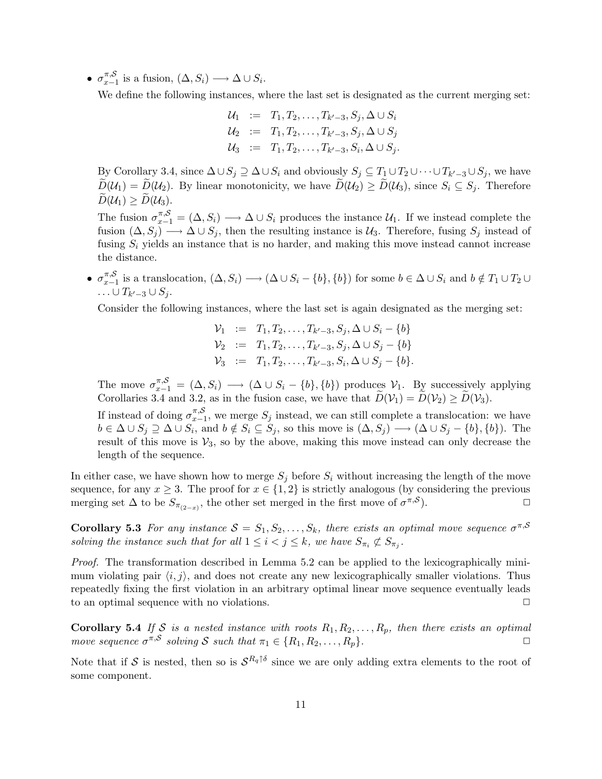$\bullet$   $\sigma_{x-}^{\pi, \mathcal{S}}$  $\lim_{x-1}^{x,\infty}$  is a fusion,  $(\Delta, S_i) \longrightarrow \Delta \cup S_i$ .

We define the following instances, where the last set is designated as the current merging set:

 $\mathcal{U}_1$  :=  $T_1, T_2, \ldots, T_{k'-3}, S_j, \Delta \cup S_i$  $\mathcal{U}_2$  :=  $T_1, T_2, \ldots, T_{k'-3}, S_j, \Delta\cup S_j$  $\mathcal{U}_3$  :=  $T_1, T_2, \ldots, T_{k'-3}, S_i, \Delta \cup S_j.$ 

By Corollary 3.4, since  $\Delta \cup S_j \supseteq \Delta \cup S_i$  and obviously  $S_j \subseteq T_1 \cup T_2 \cup \cdots \cup T_{k'-3} \cup S_j$ , we have  $\widetilde{D}(\mathcal{U}_1) = \widetilde{D}(\mathcal{U}_2)$ . By linear monotonicity, we have  $\widetilde{D}(\mathcal{U}_2) \geq \widetilde{D}(\mathcal{U}_3)$ , since  $S_i \subseteq S_j$ . Therefore  $\widetilde{D}(\mathcal{U}_1) \geq \widetilde{D}(\mathcal{U}_3).$ 

The fusion  $\sigma_{x-1}^{\pi,S} = (\Delta, S_i) \longrightarrow \Delta \cup S_i$  produces the instance  $\mathcal{U}_1$ . If we instead complete the fusion  $(\Delta, S_j) \longrightarrow \Delta \cup S_j$ , then the resulting instance is  $\mathcal{U}_3$ . Therefore, fusing  $S_j$  instead of fusing  $S_i$  yields an instance that is no harder, and making this move instead cannot increase the distance.

 $\bullet$   $\sigma_{x-}^{\pi, \mathcal{S}}$  $\lim_{x\to 1}$  is a translocation,  $(\Delta, S_i) \longrightarrow (\Delta \cup S_i - \{b\}, \{b\})$  for some  $b \in \Delta \cup S_i$  and  $b \notin T_1 \cup T_2 \cup T_1$  $\ldots \cup T_{k'-3} \cup S_j.$ 

Consider the following instances, where the last set is again designated as the merging set:

$$
\begin{array}{rcl}\n\mathcal{V}_1 & := & T_1, T_2, \dots, T_{k'-3}, S_j, \Delta \cup S_i - \{b\} \\
\mathcal{V}_2 & := & T_1, T_2, \dots, T_{k'-3}, S_j, \Delta \cup S_j - \{b\} \\
\mathcal{V}_3 & := & T_1, T_2, \dots, T_{k'-3}, S_i, \Delta \cup S_j - \{b\}.\n\end{array}
$$

The move  $\sigma_{x-1}^{\pi, S} = (\Delta, S_i) \longrightarrow (\Delta \cup S_i - \{b\}, \{b\})$  produces  $\mathcal{V}_1$ . By successively applying Corollaries 3.4 and 3.2, as in the fusion case, we have that  $D(\mathcal{V}_1) = D(\mathcal{V}_2) \ge D(\mathcal{V}_3)$ . If instead of doing  $\sigma_{x-}^{\pi, \mathcal{S}}$  $\sum_{x=1}^{\pi,\mathcal{S}}$ , we merge  $S_j$  instead, we can still complete a translocation: we have  $b \in \Delta \cup S_j \supseteq \Delta \cup S_i$ , and  $b \notin S_i \subseteq S_j$ , so this move is  $(\Delta, S_j) \longrightarrow (\Delta \cup S_j - \{b\}, \{b\})$ . The result of this move is  $\mathcal{V}_3$ , so by the above, making this move instead can only decrease the length of the sequence.

In either case, we have shown how to merge  $S_j$  before  $S_i$  without increasing the length of the move sequence, for any  $x \geq 3$ . The proof for  $x \in \{1,2\}$  is strictly analogous (by considering the previous merging set  $\Delta$  to be  $S_{\pi_{(2-x)}}$ , the other set merged in the first move of  $\sigma^{\pi,S}$ ).  $\Box$ 

**Corollary 5.3** For any instance  $S = S_1, S_2, \ldots, S_k$ , there exists an optimal move sequence  $\sigma^{\pi, S}$ solving the instance such that for all  $1 \leq i < j \leq k$ , we have  $S_{\pi_i} \not\subset S_{\pi_j}$ .

Proof. The transformation described in Lemma 5.2 can be applied to the lexicographically minimum violating pair  $\langle i, j \rangle$ , and does not create any new lexicographically smaller violations. Thus repeatedly fixing the first violation in an arbitrary optimal linear move sequence eventually leads to an optimal sequence with no violations.  $\Box$ 

Corollary 5.4 If S is a nested instance with roots  $R_1, R_2, \ldots, R_p$ , then there exists an optimal move sequence  $\sigma^{\pi, S}$  solving S such that  $\pi_1 \in \{R_1, R_2, \ldots, R_p\}$ .

Note that if S is nested, then so is  $S^{R_q \uparrow \delta}$  since we are only adding extra elements to the root of some component.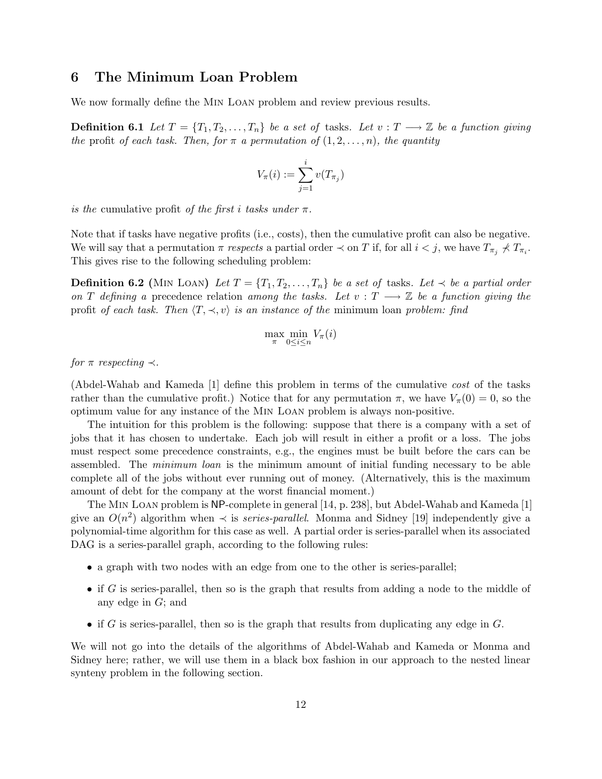# 6 The Minimum Loan Problem

We now formally define the Min Loan problem and review previous results.

**Definition 6.1** Let  $T = \{T_1, T_2, \ldots, T_n\}$  be a set of tasks. Let  $v : T \longrightarrow \mathbb{Z}$  be a function giving the profit of each task. Then, for  $\pi$  a permutation of  $(1, 2, \ldots, n)$ , the quantity

$$
V_{\pi}(i) := \sum_{j=1}^{i} v(T_{\pi_j})
$$

is the cumulative profit of the first i tasks under  $\pi$ .

Note that if tasks have negative profits (i.e., costs), then the cumulative profit can also be negative. We will say that a permutation  $\pi$  respects a partial order  $\prec$  on T if, for all  $i < j$ , we have  $T_{\pi_j} \nless T_{\pi_i}$ . This gives rise to the following scheduling problem:

**Definition 6.2** (MIN LOAN) Let  $T = \{T_1, T_2, \ldots, T_n\}$  be a set of tasks. Let  $\prec$  be a partial order on T defining a precedence relation among the tasks. Let  $v : T \longrightarrow \mathbb{Z}$  be a function giving the profit of each task. Then  $\langle T, \prec, v \rangle$  is an instance of the minimum loan problem: find

$$
\max_{\pi} \min_{0 \le i \le n} V_{\pi}(i)
$$

for  $\pi$  respecting  $\prec$ .

(Abdel-Wahab and Kameda [1] define this problem in terms of the cumulative cost of the tasks rather than the cumulative profit.) Notice that for any permutation  $\pi$ , we have  $V_{\pi}(0) = 0$ , so the optimum value for any instance of the Min Loan problem is always non-positive.

The intuition for this problem is the following: suppose that there is a company with a set of jobs that it has chosen to undertake. Each job will result in either a profit or a loss. The jobs must respect some precedence constraints, e.g., the engines must be built before the cars can be assembled. The minimum loan is the minimum amount of initial funding necessary to be able complete all of the jobs without ever running out of money. (Alternatively, this is the maximum amount of debt for the company at the worst financial moment.)

The Min Loan problem is NP-complete in general [14, p. 238], but Abdel-Wahab and Kameda [1] give an  $O(n^2)$  algorithm when  $\prec$  is *series-parallel*. Monma and Sidney [19] independently give a polynomial-time algorithm for this case as well. A partial order is series-parallel when its associated DAG is a series-parallel graph, according to the following rules:

- a graph with two nodes with an edge from one to the other is series-parallel;
- if G is series-parallel, then so is the graph that results from adding a node to the middle of any edge in G; and
- if G is series-parallel, then so is the graph that results from duplicating any edge in  $G$ .

We will not go into the details of the algorithms of Abdel-Wahab and Kameda or Monma and Sidney here; rather, we will use them in a black box fashion in our approach to the nested linear synteny problem in the following section.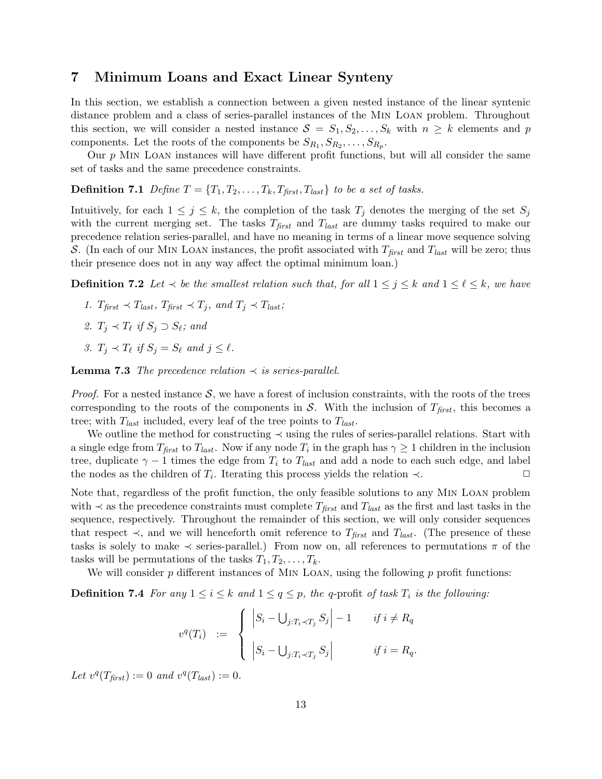# 7 Minimum Loans and Exact Linear Synteny

In this section, we establish a connection between a given nested instance of the linear syntenic distance problem and a class of series-parallel instances of the Min Loan problem. Throughout this section, we will consider a nested instance  $S = S_1, S_2, \ldots, S_k$  with  $n \geq k$  elements and p components. Let the roots of the components be  $S_{R_1}, S_{R_2}, \ldots, S_{R_p}$ .

Our  $p$  MIN LOAN instances will have different profit functions, but will all consider the same set of tasks and the same precedence constraints.

**Definition 7.1** Define  $T = \{T_1, T_2, \ldots, T_k, T_{\text{first}}, T_{\text{last}}\}$  to be a set of tasks.

Intuitively, for each  $1 \leq j \leq k$ , the completion of the task  $T_j$  denotes the merging of the set  $S_j$ with the current merging set. The tasks  $T_{first}$  and  $T_{last}$  are dummy tasks required to make our precedence relation series-parallel, and have no meaning in terms of a linear move sequence solving S. (In each of our MIN LOAN instances, the profit associated with  $T_{first}$  and  $T_{last}$  will be zero; thus their presence does not in any way affect the optimal minimum loan.)

**Definition 7.2** Let  $\prec$  be the smallest relation such that, for all  $1 \leq j \leq k$  and  $1 \leq \ell \leq k$ , we have

- 1.  $T_{\text{first}} \prec T_{\text{last}}$ ,  $T_{\text{first}} \prec T_j$ , and  $T_j \prec T_{\text{last}}$ ;
- 2.  $T_j \prec T_\ell$  if  $S_j \supset S_\ell$ ; and
- 3.  $T_j \prec T_\ell$  if  $S_j = S_\ell$  and  $j \leq \ell$ .

**Lemma 7.3** The precedence relation  $\prec$  is series-parallel.

*Proof.* For a nested instance  $S$ , we have a forest of inclusion constraints, with the roots of the trees corresponding to the roots of the components in S. With the inclusion of  $T_{first}$ , this becomes a tree; with  $T_{last}$  included, every leaf of the tree points to  $T_{last}$ .

We outline the method for constructing  $\prec$  using the rules of series-parallel relations. Start with a single edge from  $T_{first}$  to  $T_{last}$ . Now if any node  $T_i$  in the graph has  $\gamma \ge 1$  children in the inclusion tree, duplicate  $\gamma - 1$  times the edge from  $T_i$  to  $T_{last}$  and add a node to each such edge, and label the nodes as the children of  $T_i$ . Iterating this process yields the relation  $\prec$ .

Note that, regardless of the profit function, the only feasible solutions to any Min Loan problem with  $\prec$  as the precedence constraints must complete  $T_{first}$  and  $T_{last}$  as the first and last tasks in the sequence, respectively. Throughout the remainder of this section, we will only consider sequences that respect  $\prec$ , and we will henceforth omit reference to  $T_{first}$  and  $T_{last}$ . (The presence of these tasks is solely to make  $\prec$  series-parallel.) From now on, all references to permutations  $\pi$  of the tasks will be permutations of the tasks  $T_1, T_2, \ldots, T_k$ .

We will consider  $p$  different instances of MIN LOAN, using the following  $p$  profit functions:

**Definition 7.4** For any  $1 \le i \le k$  and  $1 \le q \le p$ , the q-profit of task  $T_i$  is the following:

$$
v^{q}(T_{i}) \quad := \quad \begin{cases} \quad \left| S_{i} - \bigcup_{j: T_{i} \prec T_{j}} S_{j} \right| - 1 & \text{if } i \neq R_{q} \\ \quad \left| S_{i} - \bigcup_{j: T_{i} \prec T_{j}} S_{j} \right| & \text{if } i = R_{q} . \end{cases}
$$

Let  $v^q(T_{first}) := 0$  and  $v^q(T_{last}) := 0$ .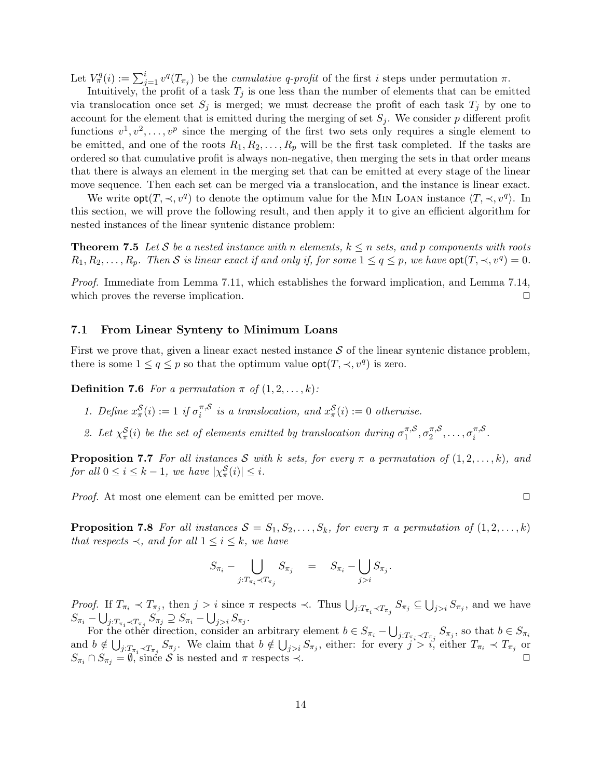Let  $V^q_\pi(i) := \sum_{j=1}^i v^q(T_{\pi_j})$  be the *cumulative q-profit* of the first *i* steps under permutation  $\pi$ .

Intuitively, the profit of a task  $T_j$  is one less than the number of elements that can be emitted via translocation once set  $S_j$  is merged; we must decrease the profit of each task  $T_j$  by one to account for the element that is emitted during the merging of set  $S_i$ . We consider p different profit functions  $v^1, v^2, \ldots, v^p$  since the merging of the first two sets only requires a single element to be emitted, and one of the roots  $R_1, R_2, \ldots, R_p$  will be the first task completed. If the tasks are ordered so that cumulative profit is always non-negative, then merging the sets in that order means that there is always an element in the merging set that can be emitted at every stage of the linear move sequence. Then each set can be merged via a translocation, and the instance is linear exact.

We write  $opt(T, \prec, v^q)$  to denote the optimum value for the MIN LOAN instance  $\langle T, \prec, v^q \rangle$ . In this section, we will prove the following result, and then apply it to give an efficient algorithm for nested instances of the linear syntenic distance problem:

**Theorem 7.5** Let S be a nested instance with n elements,  $k \leq n$  sets, and p components with roots  $R_1, R_2, \ldots, R_p$ . Then S is linear exact if and only if, for some  $1 \le q \le p$ , we have  $\mathsf{opt}(T, \prec, v^q) = 0$ .

Proof. Immediate from Lemma 7.11, which establishes the forward implication, and Lemma 7.14, which proves the reverse implication.  $\Box$ 

### 7.1 From Linear Synteny to Minimum Loans

First we prove that, given a linear exact nested instance  $S$  of the linear syntenic distance problem, there is some  $1 \le q \le p$  so that the optimum value  $\mathsf{opt}(T, \prec, v^q)$  is zero.

**Definition 7.6** For a permutation  $\pi$  of  $(1, 2, \ldots, k)$ :

- 1. Define  $x_{\pi}^{\mathcal{S}}(i) := 1$  if  $\sigma_i^{\pi, \mathcal{S}}$  $i_i^{\pi, S}$  is a translocation, and  $x_{\pi}^{S}(i) := 0$  otherwise.
- 2. Let  $\chi^{\mathcal{S}}_{\pi}(i)$  be the set of elements emitted by translocation during  $\sigma_1^{\pi,\mathcal{S}}$  $\pi, S_{1}, \sigma_{2}^{\pi, S}$  $\sigma_2^{\pi, \mathcal{S}}, \ldots, \sigma_i^{\pi, \mathcal{S}}$  $\frac{\pi}{i}$ .

**Proposition 7.7** For all instances S with k sets, for every  $\pi$  a permutation of  $(1, 2, \ldots, k)$ , and for all  $0 \leq i \leq k-1$ , we have  $|\chi_{\pi}^{\mathcal{S}}(i)| \leq i$ .

*Proof.* At most one element can be emitted per move.  $\Box$ 

**Proposition 7.8** For all instances  $S = S_1, S_2, \ldots, S_k$ , for every  $\pi$  a permutation of  $(1, 2, \ldots, k)$ that respects  $\prec$ , and for all  $1 \leq i \leq k$ , we have

$$
S_{\pi_i} - \bigcup_{j: T_{\pi_i} \prec T_{\pi_j}} S_{\pi_j} = S_{\pi_i} - \bigcup_{j>i} S_{\pi_j}.
$$

Proof. If  $T_{\pi_i} \prec T_{\pi_j}$ , then  $j > i$  since  $\pi$  respects  $\prec$ . Thus  $\bigcup_{j:T_{\pi_i}\prec T_{\pi_j}} S_{\pi_j} \subseteq \bigcup_{j>i} S_{\pi_j}$ , and we have  $S_{\pi_i} - \bigcup_{j: T_{\pi_i} \prec T_{\pi_j}} S_{\pi_j}^{\top} \supseteq S_{\pi_i} - \bigcup_{j>i} S_{\pi_j}.$  $j: T_{\pi_i} \prec T_{\pi_j}$ 

For the other direction, consider an arbitrary element  $b \in S_{\pi_i} - \bigcup_{j:T_{\pi_i} \prec T_{\pi_j}} S_{\pi_j}$ , so that  $b \in S_{\pi_i}$ and  $b \notin \bigcup_{j:T_{\pi_i}\prec T_{\pi_j}} S_{\pi_j}$ . We claim that  $b \notin \bigcup_{j>i} S_{\pi_j}$ , either: for every  $j > i$ , either  $T_{\pi_i} \prec T_{\pi_j}$  or  $S_{\pi_i} \cap S_{\pi_j} = \emptyset$ , since S is nested and  $\pi$  respects  $\prec$ .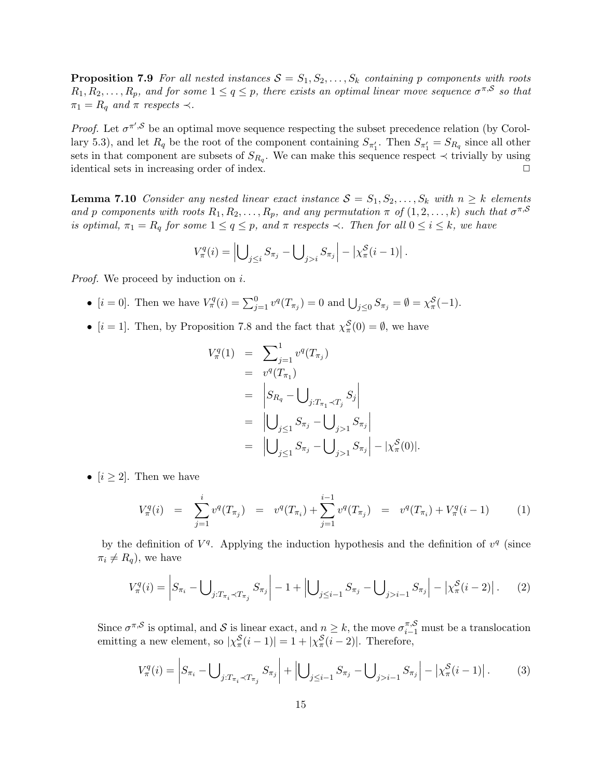**Proposition 7.9** For all nested instances  $S = S_1, S_2, \ldots, S_k$  containing p components with roots  $R_1, R_2, \ldots, R_p$ , and for some  $1 \leq q \leq p$ , there exists an optimal linear move sequence  $\sigma^{\pi, S}$  so that  $\pi_1 = R_q$  and  $\pi$  respects  $\prec$ .

*Proof.* Let  $\sigma^{\pi',\mathcal{S}}$  be an optimal move sequence respecting the subset precedence relation (by Corollary 5.3), and let  $R_q$  be the root of the component containing  $S_{\pi'_1}$ . Then  $S_{\pi'_2} = S_{R_q}$  since all other sets in that component are subsets of  $S_{R_q}$ . We can make this sequence respect  $\prec$  trivially by using identical sets in increasing order of index.  $\Box$ 

**Lemma 7.10** Consider any nested linear exact instance  $S = S_1, S_2, \ldots, S_k$  with  $n \geq k$  elements and p components with roots  $R_1, R_2, \ldots, R_p$ , and any permutation  $\pi$  of  $(1, 2, \ldots, k)$  such that  $\sigma^{\pi, S}$ is optimal,  $\pi_1 = R_q$  for some  $1 \le q \le p$ , and  $\pi$  respects  $\prec$ . Then for all  $0 \le i \le k$ , we have

$$
V_{\pi}^{q}(i) = \left| \bigcup_{j \leq i} S_{\pi_{j}} - \bigcup_{j > i} S_{\pi_{j}} \right| - \left| \chi_{\pi}^{S}(i-1) \right|.
$$

*Proof.* We proceed by induction on i.

- $[i = 0]$ . Then we have  $V^q_\pi(i) = \sum_{j=1}^0 v^q(T_{\pi_j}) = 0$  and  $\bigcup_{j \leq 0} S_{\pi_j} = \emptyset = \chi^S_\pi(-1)$ .
- $[i = 1]$ . Then, by Proposition 7.8 and the fact that  $\chi^S_\pi(0) = \emptyset$ , we have

$$
V_{\pi}^{q}(1) = \sum_{j=1}^{1} v^{q}(T_{\pi_{j}})
$$
  
\n
$$
= v^{q}(T_{\pi_{1}})
$$
  
\n
$$
= |S_{R_{q}} - \bigcup_{j:T_{\pi_{1}} \prec T_{j}} S_{j}|
$$
  
\n
$$
= |\bigcup_{j\leq 1} S_{\pi_{j}} - \bigcup_{j>1} S_{\pi_{j}}|
$$
  
\n
$$
= |\bigcup_{j\leq 1} S_{\pi_{j}} - \bigcup_{j>1} S_{\pi_{j}}| - |\chi_{\pi}^{S}(0)|.
$$

•  $[i \geq 2]$ . Then we have

$$
V_{\pi}^{q}(i) = \sum_{j=1}^{i} v^{q}(T_{\pi_{j}}) = v^{q}(T_{\pi_{i}}) + \sum_{j=1}^{i-1} v^{q}(T_{\pi_{j}}) = v^{q}(T_{\pi_{i}}) + V_{\pi}^{q}(i-1)
$$
(1)

by the definition of  $V<sup>q</sup>$ . Applying the induction hypothesis and the definition of  $v<sup>q</sup>$  (since  $\pi_i \neq R_q$ , we have

$$
V_{\pi}^{q}(i) = \left| S_{\pi_{i}} - \bigcup_{j:T_{\pi_{i}} \prec T_{\pi_{j}}} S_{\pi_{j}} \right| - 1 + \left| \bigcup_{j \leq i-1} S_{\pi_{j}} - \bigcup_{j > i-1} S_{\pi_{j}} \right| - \left| \chi_{\pi}^{S}(i-2) \right|.
$$
 (2)

Since  $\sigma^{\pi,\mathcal{S}}$  is optimal, and  $\mathcal{S}$  is linear exact, and  $n \geq k$ , the move  $\sigma^{\pi,\mathcal{S}}_{i-1}$  must be a translocation emitting a new element, so  $|\chi_{\pi}^{\mathcal{S}}(i-1)| = 1 + |\chi_{\pi}^{\mathcal{S}}(i-2)|$ . Therefore,

$$
V_{\pi}^{q}(i) = \left| S_{\pi_{i}} - \bigcup_{j:T_{\pi_{i}} \prec T_{\pi_{j}}} S_{\pi_{j}} \right| + \left| \bigcup_{j \leq i-1} S_{\pi_{j}} - \bigcup_{j > i-1} S_{\pi_{j}} \right| - \left| \chi_{\pi}^{S}(i-1) \right|.
$$
 (3)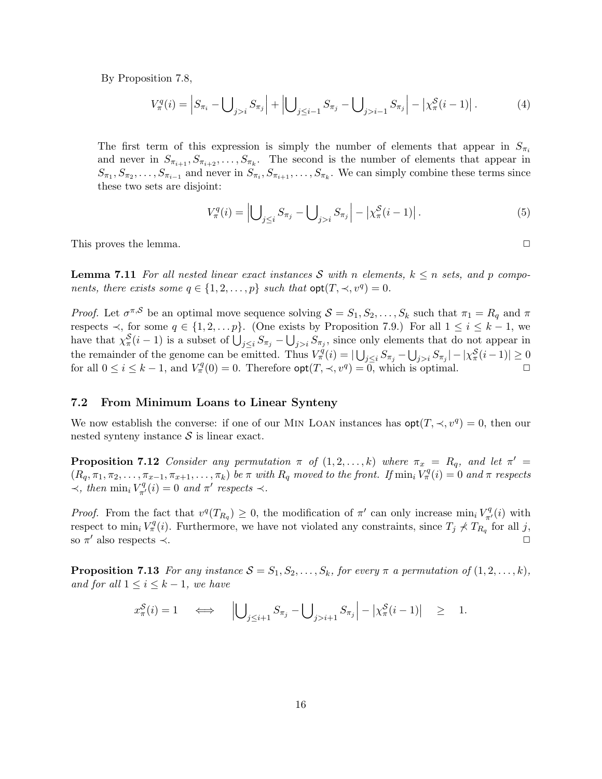By Proposition 7.8,

$$
V_{\pi}^{q}(i) = \left| S_{\pi_{i}} - \bigcup_{j>i} S_{\pi_{j}} \right| + \left| \bigcup_{j \leq i-1} S_{\pi_{j}} - \bigcup_{j>i-1} S_{\pi_{j}} \right| - \left| \chi_{\pi}^{S}(i-1) \right|.
$$
 (4)

The first term of this expression is simply the number of elements that appear in  $S_{\pi i}$ and never in  $S_{\pi_{i+1}}, S_{\pi_{i+2}}, \ldots, S_{\pi_k}$ . The second is the number of elements that appear in  $S_{\pi_1}, S_{\pi_2}, \ldots, S_{\pi_{i-1}}$  and never in  $S_{\pi_i}, S_{\pi_{i+1}}, \ldots, S_{\pi_k}$ . We can simply combine these terms since these two sets are disjoint:

$$
V_{\pi}^{q}(i) = \left| \bigcup_{j \leq i} S_{\pi_{j}} - \bigcup_{j > i} S_{\pi_{j}} \right| - \left| \chi_{\pi}^{S}(i-1) \right|.
$$
 (5)

This proves the lemma.  $\Box$ 

**Lemma 7.11** For all nested linear exact instances S with n elements,  $k \leq n$  sets, and p components, there exists some  $q \in \{1, 2, ..., p\}$  such that  $opt(T, \prec, v^q) = 0$ .

*Proof.* Let  $\sigma^{\pi, S}$  be an optimal move sequence solving  $S = S_1, S_2, \ldots, S_k$  such that  $\pi_1 = R_q$  and  $\pi$ respects  $\prec$ , for some  $q \in \{1, 2, \ldots p\}$ . (One exists by Proposition 7.9.) For all  $1 \le i \le k-1$ , we have that  $\chi^{\mathcal{S}}_{\pi}(i-1)$  is a subset of  $\bigcup_{j\leq i} S_{\pi_j} - \bigcup_{j>i} S_{\pi_j}$ , since only elements that do not appear in the remainder of the genome can be emitted. Thus  $V_{\pi}^{\hat{q}}(i) = |\bigcup_{j\leq i} S_{\pi_j} - \bigcup_{j>i} S_{\pi_j}| - |\chi_{\pi}^{\hat{S}}(i-1)| \geq 0$ for all  $0 \le i \le k-1$ , and  $V^q_\pi(0) = 0$ . Therefore  $\text{opt}(T, \prec, v^q) = 0$ , which is optimal.

### 7.2 From Minimum Loans to Linear Synteny

We now establish the converse: if one of our MIN LOAN instances has  $\text{opt}(T, \prec, v^q) = 0$ , then our nested synteny instance  $S$  is linear exact.

**Proposition 7.12** Consider any permutation  $\pi$  of  $(1, 2, \ldots, k)$  where  $\pi_x = R_q$ , and let  $\pi' =$  $(R_q, \pi_1, \pi_2, \ldots, \pi_{x-1}, \pi_{x+1}, \ldots, \pi_k)$  be  $\pi$  with  $R_q$  moved to the front. If  $\min_i V^q_{\pi}(i) = 0$  and  $\pi$  respects  $\prec$ , then  $\min_i V^q_{\pi'}(i) = 0$  and  $\pi'$  respects  $\prec$ .

*Proof.* From the fact that  $v^q(T_{R_q}) \geq 0$ , the modification of  $\pi'$  can only increase  $\min_i V_{\pi'}^q(i)$  with respect to  $\min_i V^q_\pi(i)$ . Furthermore, we have not violated any constraints, since  $T_j \nless T_{R_q}$  for all j, so  $\pi'$  also respects  $\prec$ .

**Proposition 7.13** For any instance  $S = S_1, S_2, \ldots, S_k$ , for every  $\pi$  a permutation of  $(1, 2, \ldots, k)$ , and for all  $1 \leq i \leq k-1$ , we have

$$
x_{\pi}^{\mathcal{S}}(i) = 1 \quad \iff \quad \left| \bigcup_{j \leq i+1} S_{\pi_j} - \bigcup_{j > i+1} S_{\pi_j} \right| - \left| \chi_{\pi}^{\mathcal{S}}(i-1) \right| \quad \geq \quad 1.
$$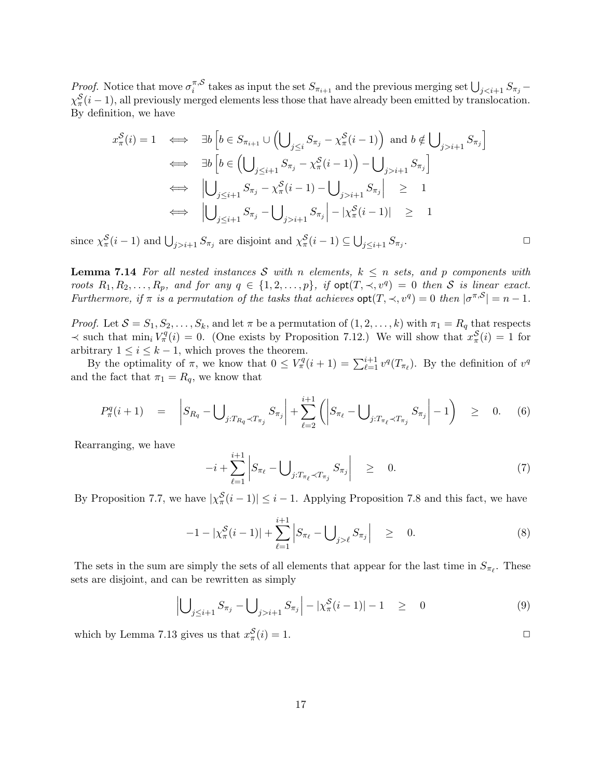*Proof.* Notice that move  $\sigma_i^{\pi, \mathcal{S}}$  $\sum_{i=1}^{\pi,S}$  takes as input the set  $S_{\pi_{i+1}}$  and the previous merging set  $\bigcup_{j$  $\chi_{\pi}^{S}(i-1)$ , all previously merged elements less those that have already been emitted by translocation. By definition, we have

$$
x_{\pi}^{\mathcal{S}}(i) = 1 \iff \exists b \left[ b \in S_{\pi_{i+1}} \cup \left( \bigcup_{j \leq i} S_{\pi_j} - \chi_{\pi}^{\mathcal{S}}(i-1) \right) \text{ and } b \notin \bigcup_{j > i+1} S_{\pi_j} \right]
$$
  
\n
$$
\iff \exists b \left[ b \in \left( \bigcup_{j \leq i+1} S_{\pi_j} - \chi_{\pi}^{\mathcal{S}}(i-1) \right) - \bigcup_{j > i+1} S_{\pi_j} \right]
$$
  
\n
$$
\iff \left| \bigcup_{j \leq i+1} S_{\pi_j} - \chi_{\pi}^{\mathcal{S}}(i-1) - \bigcup_{j > i+1} S_{\pi_j} \right| \geq 1
$$
  
\n
$$
\iff \left| \bigcup_{j \leq i+1} S_{\pi_j} - \bigcup_{j > i+1} S_{\pi_j} \right| - |\chi_{\pi}^{\mathcal{S}}(i-1)| \geq 1
$$

since  $\chi^{\mathcal{S}}_{\pi}(i-1)$  and  $\bigcup_{j>i+1} S_{\pi_j}$  are disjoint and  $\chi^{\mathcal{S}}_{\pi}(i-1) \subseteq \bigcup_{j \leq i+1} S_{\pi_j}$ 

**Lemma 7.14** For all nested instances S with n elements,  $k \leq n$  sets, and p components with roots  $R_1, R_2, \ldots, R_p$ , and for any  $q \in \{1, 2, \ldots, p\}$ , if  $\text{opt}(T, \prec, v^q) = 0$  then S is linear exact. Furthermore, if  $\pi$  is a permutation of the tasks that achieves  $opt(T, \prec, v^q) = 0$  then  $|\sigma^{\pi, S}| = n - 1$ .

*Proof.* Let  $S = S_1, S_2, \ldots, S_k$ , and let  $\pi$  be a permutation of  $(1, 2, \ldots, k)$  with  $\pi_1 = R_q$  that respects  $\prec$  such that  $\min_i V^q_\pi(i) = 0$ . (One exists by Proposition 7.12.) We will show that  $x^S_\pi(i) = 1$  for arbitrary  $1 \leq i \leq k-1$ , which proves the theorem.

By the optimality of  $\pi$ , we know that  $0 \leq V^q_{\pi}(i+1) = \sum_{\ell=1}^{i+1} v^q(T_{\pi_{\ell}})$ . By the definition of  $v^q$ and the fact that  $\pi_1 = R_q$ , we know that

$$
P_{\pi}^{q}(i+1) = |S_{R_{q}} - \bigcup_{j:T_{R_{q}} \prec T_{\pi_{j}}} S_{\pi_{j}}| + \sum_{\ell=2}^{i+1} (|S_{\pi_{\ell}} - \bigcup_{j:T_{\pi_{\ell}} \prec T_{\pi_{j}}} S_{\pi_{j}}| - 1) \geq 0. \quad (6)
$$

Rearranging, we have

$$
-i + \sum_{\ell=1}^{i+1} \left| S_{\pi_{\ell}} - \bigcup_{j: T_{\pi_{\ell}} \prec T_{\pi_j}} S_{\pi_j} \right| \geq 0. \tag{7}
$$

By Proposition 7.7, we have  $|\chi^{\mathcal{S}}_{\pi}(i-1)| \leq i-1$ . Applying Proposition 7.8 and this fact, we have

$$
-1 - |\chi_{\pi}^{S}(i-1)| + \sum_{\ell=1}^{i+1} |S_{\pi_{\ell}} - \bigcup_{j>\ell} S_{\pi_{j}}| \geq 0.
$$
 (8)

The sets in the sum are simply the sets of all elements that appear for the last time in  $S_{\pi_{\ell}}$ . These sets are disjoint, and can be rewritten as simply

$$
\left| \bigcup_{j \leq i+1} S_{\pi_j} - \bigcup_{j > i+1} S_{\pi_j} \right| - |\chi_{\pi}^{\mathcal{S}}(i-1)| - 1 \quad \geq \quad 0 \tag{9}
$$

which by Lemma 7.13 gives us that  $x_{\pi}^{\mathcal{S}}(i) = 1$ .

17

.  $\Box$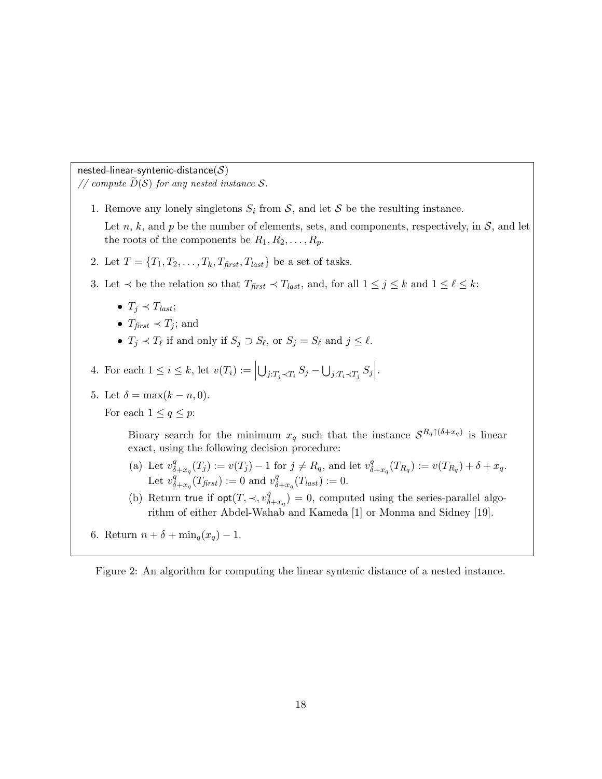nested-linear-syntenic-distance $(S)$ 

// compute  $\widetilde{D}(\mathcal{S})$  for any nested instance  $\mathcal{S}$ .

- 1. Remove any lonely singletons  $S_i$  from  $\mathcal{S}$ , and let  $\mathcal{S}$  be the resulting instance. Let n, k, and p be the number of elements, sets, and components, respectively, in  $S$ , and let the roots of the components be  $R_1, R_2, \ldots, R_p$ .
- 2. Let  $T = \{T_1, T_2, \ldots, T_k, T_{first}, T_{last}\}\)$  be a set of tasks.
- 3. Let  $\prec$  be the relation so that  $T_{first} \prec T_{last}$ , and, for all  $1 \leq j \leq k$  and  $1 \leq \ell \leq k$ :
	- $T_j \prec T_{last};$
	- $T_{\text{first}} \prec T_i$ ; and
	- $T_j \prec T_\ell$  if and only if  $S_j \supset S_\ell$ , or  $S_j = S_\ell$  and  $j \leq \ell$ .
- 4. For each  $1 \leq i \leq k$ , let  $v(T_i) :=$  $\bigcup_{j:T_j\prec T_i} S_j - \bigcup_{j:T_i\prec T_j} S_j \Big|$ .
- 5. Let  $\delta = \max(k n, 0)$ .

For each  $1 \leq q \leq p$ :

Binary search for the minimum  $x_q$  such that the instance  $S^{R_q \uparrow (\delta + x_q)}$  is linear exact, using the following decision procedure:

- (a) Let  $v^q_\delta$  $\sigma_{\delta+x_q}^q(T_j) := v(T_j) - 1$  for  $j \neq R_q$ , and let  $v_{\delta}^q$  $\delta_{+x_q}^{q}(T_{R_q}) := v(T_{R_q}) + \delta + x_q.$ Let  $v^q_\delta$  $\int_{\delta+x_q}^q(T_{\text{first}}) := 0$  and  $v_\delta^q$  $\frac{q}{\delta + x_q}(T_{last}) := 0.$
- (b) Return true if  $opt(T, \prec, v_{\delta}^q)$  $\binom{q}{\delta + x_q} = 0$ , computed using the series-parallel algorithm of either Abdel-Wahab and Kameda [1] or Monma and Sidney [19].
- 6. Return  $n + \delta + \min_q(x_q) 1$ .

Figure 2: An algorithm for computing the linear syntenic distance of a nested instance.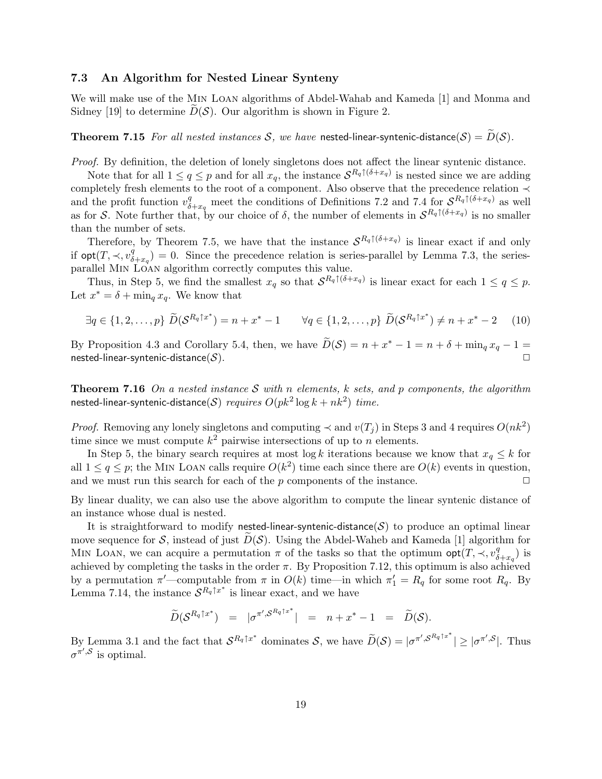## 7.3 An Algorithm for Nested Linear Synteny

We will make use of the Min Loan algorithms of Abdel-Wahab and Kameda [1] and Monma and Sidney [19] to determine  $D(S)$ . Our algorithm is shown in Figure 2.

**Theorem 7.15** For all nested instances S, we have nested-linear-syntenic-distance(S) =  $\widetilde{D}(S)$ .

Proof. By definition, the deletion of lonely singletons does not affect the linear syntenic distance.

Note that for all  $1 \le q \le p$  and for all  $x_q$ , the instance  $S^{R_q \uparrow (\delta + x_q)}$  is nested since we are adding completely fresh elements to the root of a component. Also observe that the precedence relation ≺ and the profit function  $v_{\delta+x_q}^q$  meet the conditions of Definitions 7.2 and 7.4 for  $S^{R_q \uparrow (\delta+x_q)}$  as well as for S. Note further that, by our choice of  $\delta$ , the number of elements in  $S^{R_q \uparrow (\delta + x_q)}$  is no smaller than the number of sets.

Therefore, by Theorem 7.5, we have that the instance  $S^{R_q \uparrow (\delta + x_q)}$  is linear exact if and only if  $\mathsf{opt}(T, \prec, v^q_\delta)$  $\binom{q}{\delta+xq} = 0$ . Since the precedence relation is series-parallel by Lemma 7.3, the seriesparallel Min Loan algorithm correctly computes this value.

Thus, in Step 5, we find the smallest  $x_q$  so that  $S^{R_q \uparrow (\delta + x_q)}$  is linear exact for each  $1 \le q \le p$ . Let  $x^* = \delta + \min_q x_q$ . We know that

$$
\exists q \in \{1, 2, \dots, p\} \ \widetilde{D}(\mathcal{S}^{R_q \uparrow x^*}) = n + x^* - 1 \qquad \forall q \in \{1, 2, \dots, p\} \ \widetilde{D}(\mathcal{S}^{R_q \uparrow x^*}) \neq n + x^* - 2 \tag{10}
$$

By Proposition 4.3 and Corollary 5.4, then, we have  $\widetilde{D}(\mathcal{S}) = n + x^* - 1 = n + \delta + \min_q x_q - 1 =$  ${\sf nested{\text{-}}linear\text{-}}s$ yntenic-distance $(\mathcal{S}).$ 

**Theorem 7.16** On a nested instance S with n elements, k sets, and p components, the algorithm nested-linear-syntenic-distance $(\mathcal{S})$   $\mathit{requires}~ O(pk^2\log k+nk^2)$   $\mathit{time}.$ 

*Proof.* Removing any lonely singletons and computing  $\prec$  and  $v(T_j)$  in Steps 3 and 4 requires  $O(nk^2)$ time since we must compute  $k^2$  pairwise intersections of up to n elements.

In Step 5, the binary search requires at most log k iterations because we know that  $x_q \leq k$  for all  $1 \leq q \leq p$ ; the MIN LOAN calls require  $O(k^2)$  time each since there are  $O(k)$  events in question, and we must run this search for each of the p components of the instance.  $\Box$ 

By linear duality, we can also use the above algorithm to compute the linear syntenic distance of an instance whose dual is nested.

It is straightforward to modify nested-linear-syntenic-distance( $S$ ) to produce an optimal linear move sequence for S, instead of just  $D(S)$ . Using the Abdel-Waheb and Kameda [1] algorithm for MIN LOAN, we can acquire a permutation  $\pi$  of the tasks so that the optimum opt $(T, \prec, v_{\delta}^q)$  $_{\delta + x_q}^q$ ) is achieved by completing the tasks in the order  $\pi$ . By Proposition 7.12, this optimum is also achieved by a permutation  $\pi'$ —computable from  $\pi$  in  $O(k)$  time—in which  $\pi_1' = R_q$  for some root  $R_q$ . By Lemma 7.14, the instance  $\mathcal{S}^{R_q \uparrow x^*}$  is linear exact, and we have

$$
\widetilde{D}(\mathcal{S}^{R_q\uparrow x^*}) = |\sigma^{\pi', \mathcal{S}^{R_q\uparrow x^*}}| = n + x^* - 1 = \widetilde{D}(\mathcal{S}).
$$

By Lemma 3.1 and the fact that  $\mathcal{S}^{R_q \uparrow x^*}$  dominates  $\mathcal{S}$ , we have  $\widetilde{D}(\mathcal{S}) = |\sigma^{\pi', \mathcal{S}^{R_q \uparrow x^*}}| \ge |\sigma^{\pi', \mathcal{S}}|$ . Thus  $\sigma^{\pi',\mathcal{S}}$  is optimal.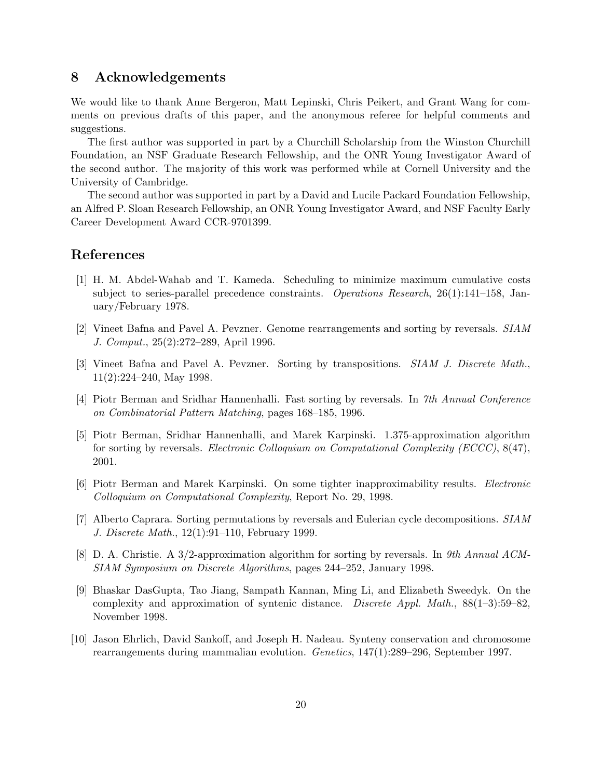# 8 Acknowledgements

We would like to thank Anne Bergeron, Matt Lepinski, Chris Peikert, and Grant Wang for comments on previous drafts of this paper, and the anonymous referee for helpful comments and suggestions.

The first author was supported in part by a Churchill Scholarship from the Winston Churchill Foundation, an NSF Graduate Research Fellowship, and the ONR Young Investigator Award of the second author. The majority of this work was performed while at Cornell University and the University of Cambridge.

The second author was supported in part by a David and Lucile Packard Foundation Fellowship, an Alfred P. Sloan Research Fellowship, an ONR Young Investigator Award, and NSF Faculty Early Career Development Award CCR-9701399.

# References

- [1] H. M. Abdel-Wahab and T. Kameda. Scheduling to minimize maximum cumulative costs subject to series-parallel precedence constraints. Operations Research, 26(1):141–158, January/February 1978.
- [2] Vineet Bafna and Pavel A. Pevzner. Genome rearrangements and sorting by reversals. SIAM J. Comput., 25(2):272–289, April 1996.
- [3] Vineet Bafna and Pavel A. Pevzner. Sorting by transpositions. SIAM J. Discrete Math., 11(2):224–240, May 1998.
- [4] Piotr Berman and Sridhar Hannenhalli. Fast sorting by reversals. In 7th Annual Conference on Combinatorial Pattern Matching, pages 168–185, 1996.
- [5] Piotr Berman, Sridhar Hannenhalli, and Marek Karpinski. 1.375-approximation algorithm for sorting by reversals. Electronic Colloquium on Computational Complexity (ECCC), 8(47), 2001.
- [6] Piotr Berman and Marek Karpinski. On some tighter inapproximability results. Electronic Colloquium on Computational Complexity, Report No. 29, 1998.
- [7] Alberto Caprara. Sorting permutations by reversals and Eulerian cycle decompositions. SIAM J. Discrete Math., 12(1):91–110, February 1999.
- [8] D. A. Christie. A 3/2-approximation algorithm for sorting by reversals. In 9th Annual ACM-SIAM Symposium on Discrete Algorithms, pages 244–252, January 1998.
- [9] Bhaskar DasGupta, Tao Jiang, Sampath Kannan, Ming Li, and Elizabeth Sweedyk. On the complexity and approximation of syntenic distance. Discrete Appl. Math.,  $88(1-3):59-82$ , November 1998.
- [10] Jason Ehrlich, David Sankoff, and Joseph H. Nadeau. Synteny conservation and chromosome rearrangements during mammalian evolution. Genetics, 147(1):289–296, September 1997.